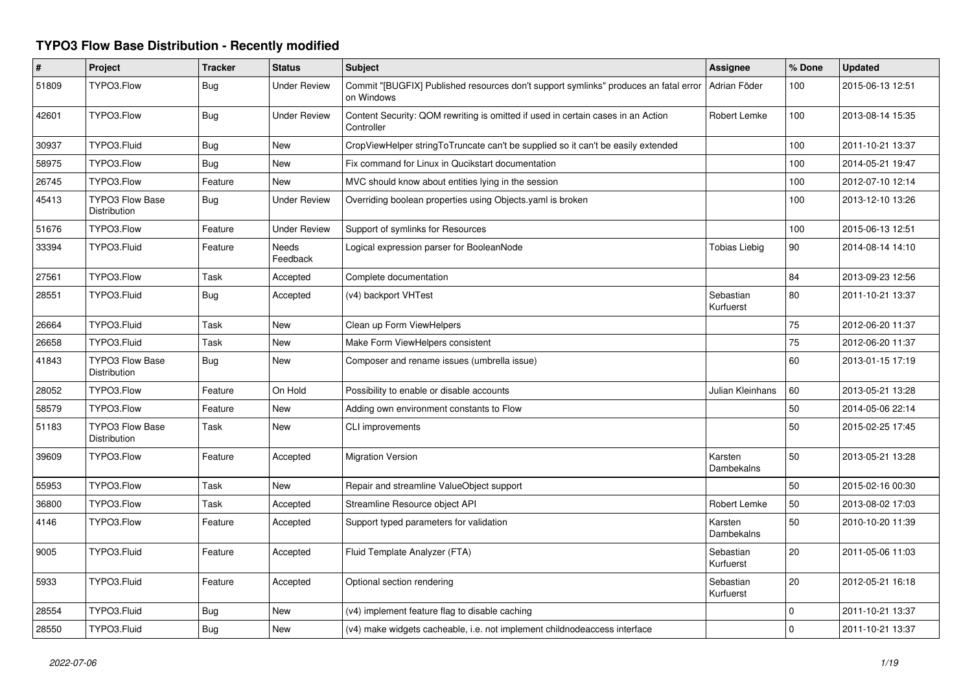## **TYPO3 Flow Base Distribution - Recently modified**

| $\pmb{\#}$ | <b>Project</b>                                | <b>Tracker</b> | <b>Status</b>       | <b>Subject</b>                                                                                     | Assignee                     | % Done      | <b>Updated</b>   |
|------------|-----------------------------------------------|----------------|---------------------|----------------------------------------------------------------------------------------------------|------------------------------|-------------|------------------|
| 51809      | TYPO3.Flow                                    | <b>Bug</b>     | <b>Under Review</b> | Commit "[BUGFIX] Published resources don't support symlinks" produces an fatal error<br>on Windows | Adrian Föder                 | 100         | 2015-06-13 12:51 |
| 42601      | TYPO3.Flow                                    | <b>Bug</b>     | <b>Under Review</b> | Content Security: QOM rewriting is omitted if used in certain cases in an Action<br>Controller     | Robert Lemke                 | 100         | 2013-08-14 15:35 |
| 30937      | TYPO3.Fluid                                   | <b>Bug</b>     | <b>New</b>          | CropViewHelper stringToTruncate can't be supplied so it can't be easily extended                   |                              | 100         | 2011-10-21 13:37 |
| 58975      | TYPO3.Flow                                    | <b>Bug</b>     | New                 | Fix command for Linux in Qucikstart documentation                                                  |                              | 100         | 2014-05-21 19:47 |
| 26745      | TYPO3.Flow                                    | Feature        | New                 | MVC should know about entities lying in the session                                                |                              | 100         | 2012-07-10 12:14 |
| 45413      | <b>TYPO3 Flow Base</b><br><b>Distribution</b> | Bug            | <b>Under Review</b> | Overriding boolean properties using Objects yaml is broken                                         |                              | 100         | 2013-12-10 13:26 |
| 51676      | TYPO3.Flow                                    | Feature        | <b>Under Review</b> | Support of symlinks for Resources                                                                  |                              | 100         | 2015-06-13 12:51 |
| 33394      | TYPO3.Fluid                                   | Feature        | Needs<br>Feedback   | Logical expression parser for BooleanNode                                                          | Tobias Liebig                | 90          | 2014-08-14 14:10 |
| 27561      | TYPO3.Flow                                    | Task           | Accepted            | Complete documentation                                                                             |                              | 84          | 2013-09-23 12:56 |
| 28551      | TYPO3.Fluid                                   | <b>Bug</b>     | Accepted            | (v4) backport VHTest                                                                               | Sebastian<br>Kurfuerst       | 80          | 2011-10-21 13:37 |
| 26664      | TYPO3.Fluid                                   | Task           | New                 | Clean up Form ViewHelpers                                                                          |                              | 75          | 2012-06-20 11:37 |
| 26658      | TYPO3.Fluid                                   | Task           | <b>New</b>          | Make Form ViewHelpers consistent                                                                   |                              | 75          | 2012-06-20 11:37 |
| 41843      | <b>TYPO3 Flow Base</b><br>Distribution        | <b>Bug</b>     | New                 | Composer and rename issues (umbrella issue)                                                        |                              | 60          | 2013-01-15 17:19 |
| 28052      | TYPO3.Flow                                    | Feature        | On Hold             | Possibility to enable or disable accounts                                                          | Julian Kleinhans             | 60          | 2013-05-21 13:28 |
| 58579      | TYPO3.Flow                                    | Feature        | <b>New</b>          | Adding own environment constants to Flow                                                           |                              | 50          | 2014-05-06 22:14 |
| 51183      | <b>TYPO3 Flow Base</b><br>Distribution        | Task           | New                 | <b>CLI improvements</b>                                                                            |                              | 50          | 2015-02-25 17:45 |
| 39609      | TYPO3.Flow                                    | Feature        | Accepted            | <b>Migration Version</b>                                                                           | Karsten<br><b>Dambekalns</b> | 50          | 2013-05-21 13:28 |
| 55953      | TYPO3.Flow                                    | Task           | <b>New</b>          | Repair and streamline ValueObject support                                                          |                              | 50          | 2015-02-16 00:30 |
| 36800      | TYPO3.Flow                                    | Task           | Accepted            | Streamline Resource object API                                                                     | Robert Lemke                 | 50          | 2013-08-02 17:03 |
| 4146       | TYPO3.Flow                                    | Feature        | Accepted            | Support typed parameters for validation                                                            | Karsten<br>Dambekalns        | 50          | 2010-10-20 11:39 |
| 9005       | TYPO3.Fluid                                   | Feature        | Accepted            | Fluid Template Analyzer (FTA)                                                                      | Sebastian<br>Kurfuerst       | 20          | 2011-05-06 11:03 |
| 5933       | TYPO3.Fluid                                   | Feature        | Accepted            | Optional section rendering                                                                         | Sebastian<br>Kurfuerst       | 20          | 2012-05-21 16:18 |
| 28554      | TYPO3.Fluid                                   | Bug            | New                 | (v4) implement feature flag to disable caching                                                     |                              | 0           | 2011-10-21 13:37 |
| 28550      | TYPO3.Fluid                                   | Bug            | <b>New</b>          | (v4) make widgets cacheable, i.e. not implement childnodeaccess interface                          |                              | $\mathbf 0$ | 2011-10-21 13:37 |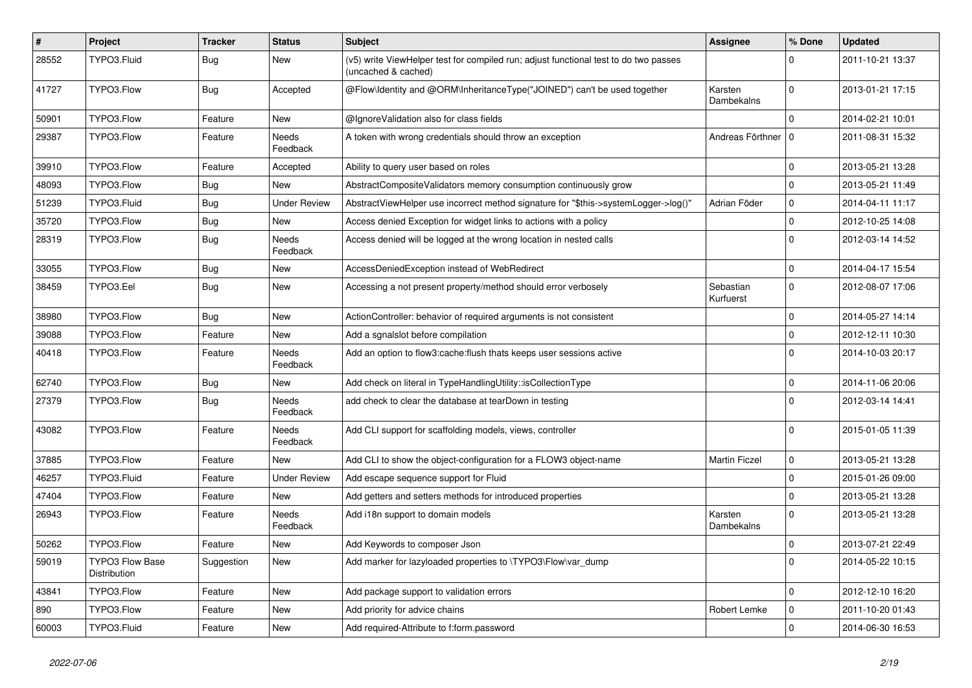| $\vert$ # | Project                                | <b>Tracker</b> | <b>Status</b>            | <b>Subject</b>                                                                                              | <b>Assignee</b>        | % Done              | <b>Updated</b>   |
|-----------|----------------------------------------|----------------|--------------------------|-------------------------------------------------------------------------------------------------------------|------------------------|---------------------|------------------|
| 28552     | TYPO3.Fluid                            | <b>Bug</b>     | New                      | (v5) write ViewHelper test for compiled run; adjust functional test to do two passes<br>(uncached & cached) |                        | U                   | 2011-10-21 13:37 |
| 41727     | TYPO3.Flow                             | <b>Bug</b>     | Accepted                 | @Flow\Identity and @ORM\InheritanceType("JOINED") can't be used together                                    | Karsten<br>Dambekalns  | $\Omega$            | 2013-01-21 17:15 |
| 50901     | TYPO3.Flow                             | Feature        | New                      | @IgnoreValidation also for class fields                                                                     |                        | 0                   | 2014-02-21 10:01 |
| 29387     | TYPO3.Flow                             | Feature        | Needs<br>Feedback        | A token with wrong credentials should throw an exception                                                    | Andreas Förthner   0   |                     | 2011-08-31 15:32 |
| 39910     | TYPO3.Flow                             | Feature        | Accepted                 | Ability to query user based on roles                                                                        |                        | $\Omega$            | 2013-05-21 13:28 |
| 48093     | TYPO3.Flow                             | <b>Bug</b>     | New                      | AbstractCompositeValidators memory consumption continuously grow                                            |                        | $\Omega$            | 2013-05-21 11:49 |
| 51239     | TYPO3.Fluid                            | <b>Bug</b>     | <b>Under Review</b>      | AbstractViewHelper use incorrect method signature for "\$this->systemLogger->log()"                         | Adrian Föder           | $\mathbf 0$         | 2014-04-11 11:17 |
| 35720     | TYPO3.Flow                             | <b>Bug</b>     | New                      | Access denied Exception for widget links to actions with a policy                                           |                        | $\mathbf 0$         | 2012-10-25 14:08 |
| 28319     | TYPO3.Flow                             | <b>Bug</b>     | Needs<br>Feedback        | Access denied will be logged at the wrong location in nested calls                                          |                        | $\Omega$            | 2012-03-14 14:52 |
| 33055     | TYPO3.Flow                             | <b>Bug</b>     | New                      | AccessDeniedException instead of WebRedirect                                                                |                        | $\mathbf 0$         | 2014-04-17 15:54 |
| 38459     | TYPO3.Eel                              | <b>Bug</b>     | New                      | Accessing a not present property/method should error verbosely                                              | Sebastian<br>Kurfuerst | $\Omega$            | 2012-08-07 17:06 |
| 38980     | TYPO3.Flow                             | <b>Bug</b>     | New                      | ActionController: behavior of required arguments is not consistent                                          |                        | $\Omega$            | 2014-05-27 14:14 |
| 39088     | TYPO3.Flow                             | Feature        | New                      | Add a sgnalslot before compilation                                                                          |                        | $\Omega$            | 2012-12-11 10:30 |
| 40418     | TYPO3.Flow                             | Feature        | Needs<br>Feedback        | Add an option to flow3:cache:flush thats keeps user sessions active                                         |                        | $\Omega$            | 2014-10-03 20:17 |
| 62740     | TYPO3.Flow                             | <b>Bug</b>     | New                      | Add check on literal in TypeHandlingUtility::isCollectionType                                               |                        | 0                   | 2014-11-06 20:06 |
| 27379     | TYPO3.Flow                             | <b>Bug</b>     | Needs<br>Feedback        | add check to clear the database at tearDown in testing                                                      |                        | $\Omega$            | 2012-03-14 14:41 |
| 43082     | TYPO3.Flow                             | Feature        | <b>Needs</b><br>Feedback | Add CLI support for scaffolding models, views, controller                                                   |                        | $\Omega$            | 2015-01-05 11:39 |
| 37885     | TYPO3.Flow                             | Feature        | New                      | Add CLI to show the object-configuration for a FLOW3 object-name                                            | <b>Martin Ficzel</b>   | $\mathbf 0$         | 2013-05-21 13:28 |
| 46257     | TYPO3.Fluid                            | Feature        | <b>Under Review</b>      | Add escape sequence support for Fluid                                                                       |                        | $\mathbf 0$         | 2015-01-26 09:00 |
| 47404     | TYPO3.Flow                             | Feature        | New                      | Add getters and setters methods for introduced properties                                                   |                        | $\Omega$            | 2013-05-21 13:28 |
| 26943     | TYPO3.Flow                             | Feature        | <b>Needs</b><br>Feedback | Add i18n support to domain models                                                                           | Karsten<br>Dambekalns  | $\Omega$            | 2013-05-21 13:28 |
| 50262     | TYPO3.Flow                             | Feature        | New                      | Add Keywords to composer Json                                                                               |                        | $\mathbf 0$         | 2013-07-21 22:49 |
| 59019     | <b>TYPO3 Flow Base</b><br>Distribution | Suggestion     | New                      | Add marker for lazyloaded properties to \TYPO3\Flow\var dump                                                |                        | $\mathbf 0$         | 2014-05-22 10:15 |
| 43841     | TYPO3.Flow                             | Feature        | New                      | Add package support to validation errors                                                                    |                        | $\Omega$            | 2012-12-10 16:20 |
| 890       | TYPO3.Flow                             | Feature        | New                      | Add priority for advice chains                                                                              | Robert Lemke           | $\mathbf 0$         | 2011-10-20 01:43 |
| 60003     | TYPO3.Fluid                            | Feature        | New                      | Add required-Attribute to f:form.password                                                                   |                        | $\mathsf{O}\xspace$ | 2014-06-30 16:53 |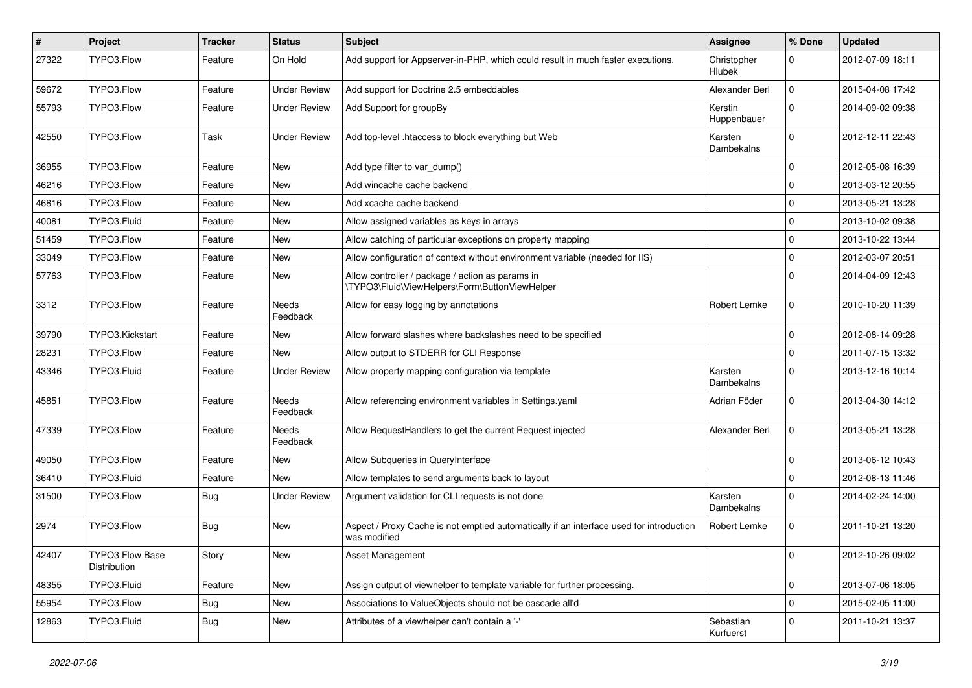| $\sharp$ | Project                         | <b>Tracker</b> | <b>Status</b>            | <b>Subject</b>                                                                                          | <b>Assignee</b>              | % Done              | <b>Updated</b>   |
|----------|---------------------------------|----------------|--------------------------|---------------------------------------------------------------------------------------------------------|------------------------------|---------------------|------------------|
| 27322    | TYPO3.Flow                      | Feature        | On Hold                  | Add support for Appserver-in-PHP, which could result in much faster executions.                         | Christopher<br><b>Hlubek</b> | $\Omega$            | 2012-07-09 18:11 |
| 59672    | TYPO3.Flow                      | Feature        | <b>Under Review</b>      | Add support for Doctrine 2.5 embeddables                                                                | Alexander Berl               | $\mathbf 0$         | 2015-04-08 17:42 |
| 55793    | TYPO3.Flow                      | Feature        | <b>Under Review</b>      | Add Support for groupBy                                                                                 | Kerstin<br>Huppenbauer       | $\Omega$            | 2014-09-02 09:38 |
| 42550    | TYPO3.Flow                      | Task           | <b>Under Review</b>      | Add top-level .htaccess to block everything but Web                                                     | Karsten<br>Dambekalns        | $\Omega$            | 2012-12-11 22:43 |
| 36955    | TYPO3.Flow                      | Feature        | <b>New</b>               | Add type filter to var dump()                                                                           |                              | $\Omega$            | 2012-05-08 16:39 |
| 46216    | TYPO3.Flow                      | Feature        | New                      | Add wincache cache backend                                                                              |                              | $\Omega$            | 2013-03-12 20:55 |
| 46816    | TYPO3.Flow                      | Feature        | <b>New</b>               | Add xcache cache backend                                                                                |                              | 0                   | 2013-05-21 13:28 |
| 40081    | TYPO3.Fluid                     | Feature        | New                      | Allow assigned variables as keys in arrays                                                              |                              | $\Omega$            | 2013-10-02 09:38 |
| 51459    | TYPO3.Flow                      | Feature        | New                      | Allow catching of particular exceptions on property mapping                                             |                              | $\Omega$            | 2013-10-22 13:44 |
| 33049    | TYPO3.Flow                      | Feature        | New                      | Allow configuration of context without environment variable (needed for IIS)                            |                              | 0                   | 2012-03-07 20:51 |
| 57763    | TYPO3.Flow                      | Feature        | New                      | Allow controller / package / action as params in<br>\TYPO3\Fluid\ViewHelpers\Form\ButtonViewHelper      |                              | $\Omega$            | 2014-04-09 12:43 |
| 3312     | TYPO3.Flow                      | Feature        | Needs<br>Feedback        | Allow for easy logging by annotations                                                                   | Robert Lemke                 | $\Omega$            | 2010-10-20 11:39 |
| 39790    | TYPO3.Kickstart                 | Feature        | New                      | Allow forward slashes where backslashes need to be specified                                            |                              | $\mathbf 0$         | 2012-08-14 09:28 |
| 28231    | TYPO3.Flow                      | Feature        | New                      | Allow output to STDERR for CLI Response                                                                 |                              | $\mathbf 0$         | 2011-07-15 13:32 |
| 43346    | TYPO3.Fluid                     | Feature        | <b>Under Review</b>      | Allow property mapping configuration via template                                                       | Karsten<br>Dambekalns        | $\Omega$            | 2013-12-16 10:14 |
| 45851    | TYPO3.Flow                      | Feature        | Needs<br>Feedback        | Allow referencing environment variables in Settings.yaml                                                | Adrian Föder                 | $\Omega$            | 2013-04-30 14:12 |
| 47339    | TYPO3.Flow                      | Feature        | <b>Needs</b><br>Feedback | Allow RequestHandlers to get the current Request injected                                               | Alexander Berl               | $\Omega$            | 2013-05-21 13:28 |
| 49050    | TYPO3.Flow                      | Feature        | New                      | Allow Subqueries in QueryInterface                                                                      |                              | $\Omega$            | 2013-06-12 10:43 |
| 36410    | TYPO3.Fluid                     | Feature        | New                      | Allow templates to send arguments back to layout                                                        |                              | $\mathbf 0$         | 2012-08-13 11:46 |
| 31500    | TYPO3.Flow                      | <b>Bug</b>     | <b>Under Review</b>      | Argument validation for CLI requests is not done                                                        | Karsten<br>Dambekalns        | $\Omega$            | 2014-02-24 14:00 |
| 2974     | TYPO3.Flow                      | <b>Bug</b>     | New                      | Aspect / Proxy Cache is not emptied automatically if an interface used for introduction<br>was modified | Robert Lemke                 | $\Omega$            | 2011-10-21 13:20 |
| 42407    | TYPO3 Flow Base<br>Distribution | Story          | New                      | Asset Management                                                                                        |                              | 0                   | 2012-10-26 09:02 |
| 48355    | TYPO3.Fluid                     | Feature        | New                      | Assign output of viewhelper to template variable for further processing.                                |                              | $\mathbf 0$         | 2013-07-06 18:05 |
| 55954    | TYPO3.Flow                      | <b>Bug</b>     | New                      | Associations to ValueObjects should not be cascade all'd                                                |                              | $\mathbf 0$         | 2015-02-05 11:00 |
| 12863    | TYPO3.Fluid                     | Bug            | New                      | Attributes of a viewhelper can't contain a '-'                                                          | Sebastian<br>Kurfuerst       | $\mathsf{O}\xspace$ | 2011-10-21 13:37 |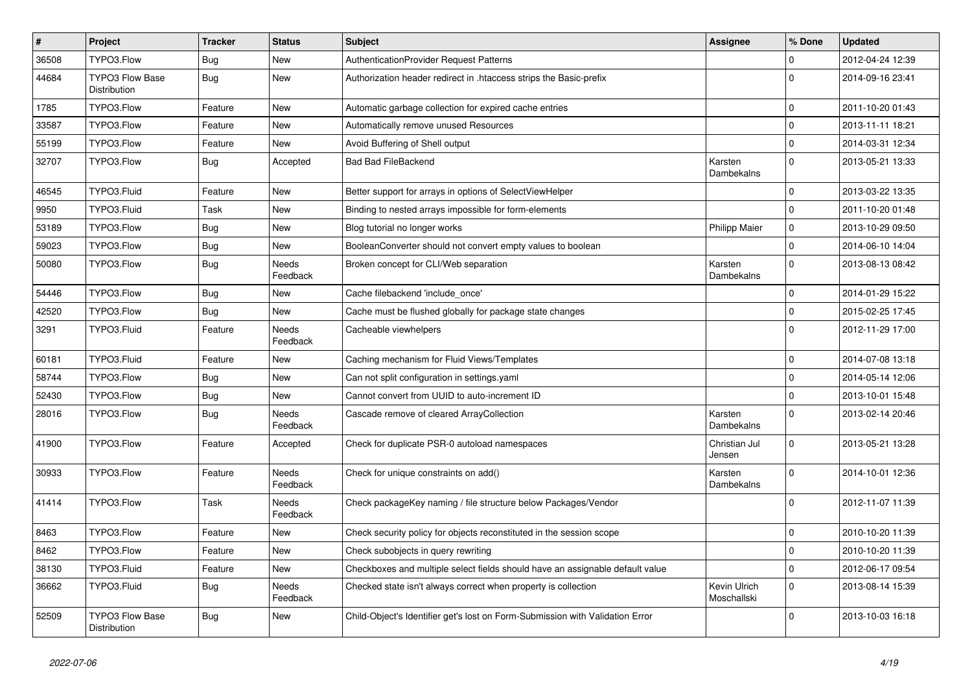| $\pmb{\#}$ | Project                                | <b>Tracker</b> | <b>Status</b>            | <b>Subject</b>                                                                | <b>Assignee</b>             | % Done              | <b>Updated</b>   |
|------------|----------------------------------------|----------------|--------------------------|-------------------------------------------------------------------------------|-----------------------------|---------------------|------------------|
| 36508      | TYPO3.Flow                             | Bug            | New                      | <b>AuthenticationProvider Request Patterns</b>                                |                             | 0                   | 2012-04-24 12:39 |
| 44684      | <b>TYPO3 Flow Base</b><br>Distribution | Bug            | New                      | Authorization header redirect in .htaccess strips the Basic-prefix            |                             | $\Omega$            | 2014-09-16 23:41 |
| 1785       | TYPO3.Flow                             | Feature        | New                      | Automatic garbage collection for expired cache entries                        |                             | $\Omega$            | 2011-10-20 01:43 |
| 33587      | TYPO3.Flow                             | Feature        | New                      | Automatically remove unused Resources                                         |                             | $\Omega$            | 2013-11-11 18:21 |
| 55199      | TYPO3.Flow                             | Feature        | New                      | Avoid Buffering of Shell output                                               |                             | $\mathbf 0$         | 2014-03-31 12:34 |
| 32707      | TYPO3.Flow                             | Bug            | Accepted                 | <b>Bad Bad FileBackend</b>                                                    | Karsten<br>Dambekalns       | $\Omega$            | 2013-05-21 13:33 |
| 46545      | TYPO3.Fluid                            | Feature        | New                      | Better support for arrays in options of SelectViewHelper                      |                             | $\mathbf 0$         | 2013-03-22 13:35 |
| 9950       | TYPO3.Fluid                            | Task           | New                      | Binding to nested arrays impossible for form-elements                         |                             | $\mathbf 0$         | 2011-10-20 01:48 |
| 53189      | TYPO3.Flow                             | <b>Bug</b>     | New                      | Blog tutorial no longer works                                                 | <b>Philipp Maier</b>        | $\mathbf 0$         | 2013-10-29 09:50 |
| 59023      | TYPO3.Flow                             | <b>Bug</b>     | New                      | BooleanConverter should not convert empty values to boolean                   |                             | $\mathbf 0$         | 2014-06-10 14:04 |
| 50080      | TYPO3.Flow                             | <b>Bug</b>     | <b>Needs</b><br>Feedback | Broken concept for CLI/Web separation                                         | Karsten<br>Dambekalns       | $\Omega$            | 2013-08-13 08:42 |
| 54446      | TYPO3.Flow                             | <b>Bug</b>     | New                      | Cache filebackend 'include_once'                                              |                             | $\mathbf 0$         | 2014-01-29 15:22 |
| 42520      | TYPO3.Flow                             | Bug            | New                      | Cache must be flushed globally for package state changes                      |                             | $\mathbf 0$         | 2015-02-25 17:45 |
| 3291       | TYPO3.Fluid                            | Feature        | Needs<br>Feedback        | Cacheable viewhelpers                                                         |                             | $\Omega$            | 2012-11-29 17:00 |
| 60181      | TYPO3.Fluid                            | Feature        | New                      | Caching mechanism for Fluid Views/Templates                                   |                             | $\mathsf{O}\xspace$ | 2014-07-08 13:18 |
| 58744      | TYPO3.Flow                             | <b>Bug</b>     | New                      | Can not split configuration in settings yaml                                  |                             | $\pmb{0}$           | 2014-05-14 12:06 |
| 52430      | TYPO3.Flow                             | <b>Bug</b>     | New                      | Cannot convert from UUID to auto-increment ID                                 |                             | $\mathbf{0}$        | 2013-10-01 15:48 |
| 28016      | TYPO3.Flow                             | Bug            | <b>Needs</b><br>Feedback | Cascade remove of cleared ArrayCollection                                     | Karsten<br>Dambekalns       | $\Omega$            | 2013-02-14 20:46 |
| 41900      | TYPO3.Flow                             | Feature        | Accepted                 | Check for duplicate PSR-0 autoload namespaces                                 | Christian Jul<br>Jensen     | $\mathbf 0$         | 2013-05-21 13:28 |
| 30933      | TYPO3.Flow                             | Feature        | Needs<br>Feedback        | Check for unique constraints on add()                                         | Karsten<br>Dambekalns       | $\Omega$            | 2014-10-01 12:36 |
| 41414      | TYPO3.Flow                             | Task           | Needs<br>Feedback        | Check packageKey naming / file structure below Packages/Vendor                |                             | $\Omega$            | 2012-11-07 11:39 |
| 8463       | TYPO3.Flow                             | Feature        | New                      | Check security policy for objects reconstituted in the session scope          |                             | $\mathbf 0$         | 2010-10-20 11:39 |
| 8462       | TYPO3.Flow                             | Feature        | New                      | Check subobjects in query rewriting                                           |                             | $\mathbf 0$         | 2010-10-20 11:39 |
| 38130      | TYPO3.Fluid                            | Feature        | New                      | Checkboxes and multiple select fields should have an assignable default value |                             | $\mathbf 0$         | 2012-06-17 09:54 |
| 36662      | TYPO3.Fluid                            | <b>Bug</b>     | Needs<br>Feedback        | Checked state isn't always correct when property is collection                | Kevin Ulrich<br>Moschallski | $\Omega$            | 2013-08-14 15:39 |
| 52509      | <b>TYPO3 Flow Base</b><br>Distribution | <b>Bug</b>     | New                      | Child-Object's Identifier get's lost on Form-Submission with Validation Error |                             | $\Omega$            | 2013-10-03 16:18 |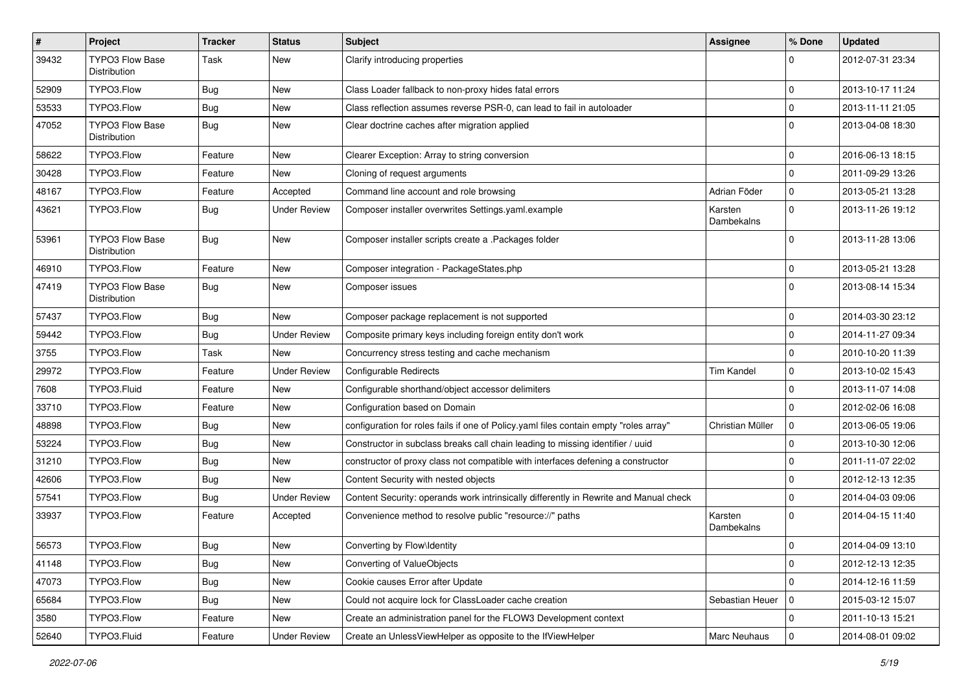| $\sharp$ | Project                                | <b>Tracker</b> | <b>Status</b>       | Subject                                                                               | <b>Assignee</b>       | % Done      | <b>Updated</b>   |
|----------|----------------------------------------|----------------|---------------------|---------------------------------------------------------------------------------------|-----------------------|-------------|------------------|
| 39432    | TYPO3 Flow Base<br>Distribution        | Task           | New                 | Clarify introducing properties                                                        |                       | 0           | 2012-07-31 23:34 |
| 52909    | TYPO3.Flow                             | <b>Bug</b>     | New                 | Class Loader fallback to non-proxy hides fatal errors                                 |                       | $\mathbf 0$ | 2013-10-17 11:24 |
| 53533    | TYPO3.Flow                             | <b>Bug</b>     | New                 | Class reflection assumes reverse PSR-0, can lead to fail in autoloader                |                       | $\mathbf 0$ | 2013-11-11 21:05 |
| 47052    | <b>TYPO3 Flow Base</b><br>Distribution | <b>Bug</b>     | New                 | Clear doctrine caches after migration applied                                         |                       | $\Omega$    | 2013-04-08 18:30 |
| 58622    | TYPO3.Flow                             | Feature        | New                 | Clearer Exception: Array to string conversion                                         |                       | $\mathbf 0$ | 2016-06-13 18:15 |
| 30428    | TYPO3.Flow                             | Feature        | New                 | Cloning of request arguments                                                          |                       | $\mathbf 0$ | 2011-09-29 13:26 |
| 48167    | TYPO3.Flow                             | Feature        | Accepted            | Command line account and role browsing                                                | Adrian Föder          | $\mathbf 0$ | 2013-05-21 13:28 |
| 43621    | TYPO3.Flow                             | <b>Bug</b>     | <b>Under Review</b> | Composer installer overwrites Settings.yaml.example                                   | Karsten<br>Dambekalns | $\Omega$    | 2013-11-26 19:12 |
| 53961    | TYPO3 Flow Base<br>Distribution        | <b>Bug</b>     | New                 | Composer installer scripts create a .Packages folder                                  |                       | $\Omega$    | 2013-11-28 13:06 |
| 46910    | TYPO3.Flow                             | Feature        | New                 | Composer integration - PackageStates.php                                              |                       | $\mathbf 0$ | 2013-05-21 13:28 |
| 47419    | <b>TYPO3 Flow Base</b><br>Distribution | <b>Bug</b>     | New                 | Composer issues                                                                       |                       | $\Omega$    | 2013-08-14 15:34 |
| 57437    | TYPO3.Flow                             | <b>Bug</b>     | New                 | Composer package replacement is not supported                                         |                       | $\Omega$    | 2014-03-30 23:12 |
| 59442    | TYPO3.Flow                             | <b>Bug</b>     | <b>Under Review</b> | Composite primary keys including foreign entity don't work                            |                       | $\mathbf 0$ | 2014-11-27 09:34 |
| 3755     | TYPO3.Flow                             | Task           | New                 | Concurrency stress testing and cache mechanism                                        |                       | $\mathbf 0$ | 2010-10-20 11:39 |
| 29972    | TYPO3.Flow                             | Feature        | <b>Under Review</b> | Configurable Redirects                                                                | Tim Kandel            | $\mathbf 0$ | 2013-10-02 15:43 |
| 7608     | TYPO3.Fluid                            | Feature        | New                 | Configurable shorthand/object accessor delimiters                                     |                       | $\Omega$    | 2013-11-07 14:08 |
| 33710    | TYPO3.Flow                             | Feature        | New                 | Configuration based on Domain                                                         |                       | $\Omega$    | 2012-02-06 16:08 |
| 48898    | TYPO3.Flow                             | <b>Bug</b>     | New                 | configuration for roles fails if one of Policy.yaml files contain empty "roles array" | Christian Müller      | $\mathbf 0$ | 2013-06-05 19:06 |
| 53224    | TYPO3.Flow                             | Bug            | New                 | Constructor in subclass breaks call chain leading to missing identifier / uuid        |                       | $\Omega$    | 2013-10-30 12:06 |
| 31210    | TYPO3.Flow                             | Bug            | New                 | constructor of proxy class not compatible with interfaces defening a constructor      |                       | $\mathbf 0$ | 2011-11-07 22:02 |
| 42606    | TYPO3.Flow                             | <b>Bug</b>     | New                 | Content Security with nested objects                                                  |                       | $\mathbf 0$ | 2012-12-13 12:35 |
| 57541    | TYPO3.Flow                             | <b>Bug</b>     | <b>Under Review</b> | Content Security: operands work intrinsically differently in Rewrite and Manual check |                       | $\mathbf 0$ | 2014-04-03 09:06 |
| 33937    | TYPO3.Flow                             | Feature        | Accepted            | Convenience method to resolve public "resource://" paths                              | Karsten<br>Dambekalns | $\Omega$    | 2014-04-15 11:40 |
| 56573    | TYPO3.Flow                             | <b>Bug</b>     | New                 | Converting by Flow\Identity                                                           |                       | $\mathbf 0$ | 2014-04-09 13:10 |
| 41148    | TYPO3.Flow                             | <b>Bug</b>     | New                 | Converting of ValueObjects                                                            |                       | 0           | 2012-12-13 12:35 |
| 47073    | TYPO3.Flow                             | <b>Bug</b>     | New                 | Cookie causes Error after Update                                                      |                       | 0           | 2014-12-16 11:59 |
| 65684    | TYPO3.Flow                             | Bug            | New                 | Could not acquire lock for ClassLoader cache creation                                 | Sebastian Heuer       | 0           | 2015-03-12 15:07 |
| 3580     | TYPO3.Flow                             | Feature        | New                 | Create an administration panel for the FLOW3 Development context                      |                       | 0           | 2011-10-13 15:21 |
| 52640    | TYPO3.Fluid                            | Feature        | <b>Under Review</b> | Create an UnlessViewHelper as opposite to the IfViewHelper                            | Marc Neuhaus          | $\mathbf 0$ | 2014-08-01 09:02 |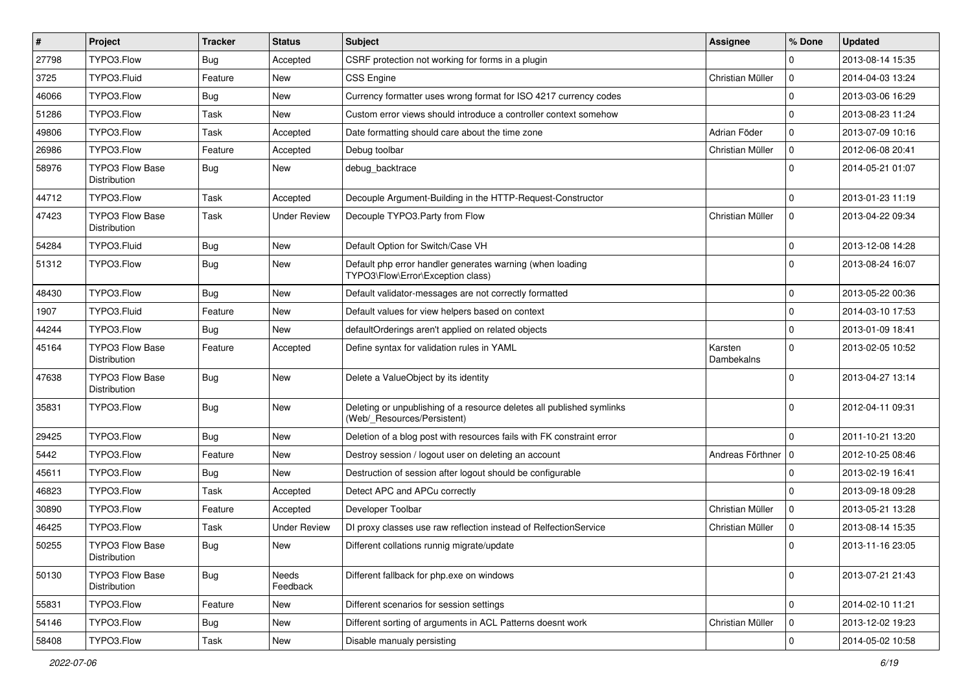| $\vert$ # | Project                                | <b>Tracker</b> | <b>Status</b>       | Subject                                                                                              | Assignee              | % Done      | <b>Updated</b>   |
|-----------|----------------------------------------|----------------|---------------------|------------------------------------------------------------------------------------------------------|-----------------------|-------------|------------------|
| 27798     | TYPO3.Flow                             | <b>Bug</b>     | Accepted            | CSRF protection not working for forms in a plugin                                                    |                       | $\Omega$    | 2013-08-14 15:35 |
| 3725      | TYPO3.Fluid                            | Feature        | New                 | <b>CSS Engine</b>                                                                                    | Christian Müller      | $\mathbf 0$ | 2014-04-03 13:24 |
| 46066     | TYPO3.Flow                             | <b>Bug</b>     | New                 | Currency formatter uses wrong format for ISO 4217 currency codes                                     |                       | $\mathbf 0$ | 2013-03-06 16:29 |
| 51286     | TYPO3.Flow                             | Task           | New                 | Custom error views should introduce a controller context somehow                                     |                       | $\mathbf 0$ | 2013-08-23 11:24 |
| 49806     | TYPO3.Flow                             | Task           | Accepted            | Date formatting should care about the time zone                                                      | Adrian Föder          | $\mathbf 0$ | 2013-07-09 10:16 |
| 26986     | TYPO3.Flow                             | Feature        | Accepted            | Debug toolbar                                                                                        | Christian Müller      | $\mathbf 0$ | 2012-06-08 20:41 |
| 58976     | <b>TYPO3 Flow Base</b><br>Distribution | <b>Bug</b>     | New                 | debug_backtrace                                                                                      |                       | $\Omega$    | 2014-05-21 01:07 |
| 44712     | TYPO3.Flow                             | Task           | Accepted            | Decouple Argument-Building in the HTTP-Request-Constructor                                           |                       | $\mathbf 0$ | 2013-01-23 11:19 |
| 47423     | TYPO3 Flow Base<br>Distribution        | Task           | <b>Under Review</b> | Decouple TYPO3.Party from Flow                                                                       | Christian Müller      | $\mathbf 0$ | 2013-04-22 09:34 |
| 54284     | TYPO3.Fluid                            | <b>Bug</b>     | New                 | Default Option for Switch/Case VH                                                                    |                       | $\mathbf 0$ | 2013-12-08 14:28 |
| 51312     | TYPO3.Flow                             | <b>Bug</b>     | New                 | Default php error handler generates warning (when loading<br>TYPO3\Flow\Error\Exception class)       |                       | $\Omega$    | 2013-08-24 16:07 |
| 48430     | TYPO3.Flow                             | <b>Bug</b>     | New                 | Default validator-messages are not correctly formatted                                               |                       | $\mathbf 0$ | 2013-05-22 00:36 |
| 1907      | TYPO3.Fluid                            | Feature        | New                 | Default values for view helpers based on context                                                     |                       | $\mathbf 0$ | 2014-03-10 17:53 |
| 44244     | TYPO3.Flow                             | <b>Bug</b>     | New                 | defaultOrderings aren't applied on related objects                                                   |                       | $\mathbf 0$ | 2013-01-09 18:41 |
| 45164     | TYPO3 Flow Base<br>Distribution        | Feature        | Accepted            | Define syntax for validation rules in YAML                                                           | Karsten<br>Dambekalns | $\Omega$    | 2013-02-05 10:52 |
| 47638     | <b>TYPO3 Flow Base</b><br>Distribution | <b>Bug</b>     | New                 | Delete a ValueObject by its identity                                                                 |                       | $\Omega$    | 2013-04-27 13:14 |
| 35831     | TYPO3.Flow                             | Bug            | New                 | Deleting or unpublishing of a resource deletes all published symlinks<br>(Web/_Resources/Persistent) |                       | $\Omega$    | 2012-04-11 09:31 |
| 29425     | TYPO3.Flow                             | Bug            | New                 | Deletion of a blog post with resources fails with FK constraint error                                |                       | $\mathbf 0$ | 2011-10-21 13:20 |
| 5442      | TYPO3.Flow                             | Feature        | New                 | Destroy session / logout user on deleting an account                                                 | Andreas Förthner   0  |             | 2012-10-25 08:46 |
| 45611     | TYPO3.Flow                             | <b>Bug</b>     | New                 | Destruction of session after logout should be configurable                                           |                       | $\Omega$    | 2013-02-19 16:41 |
| 46823     | TYPO3.Flow                             | Task           | Accepted            | Detect APC and APCu correctly                                                                        |                       | $\mathbf 0$ | 2013-09-18 09:28 |
| 30890     | TYPO3.Flow                             | Feature        | Accepted            | Developer Toolbar                                                                                    | Christian Müller      | $\mathbf 0$ | 2013-05-21 13:28 |
| 46425     | TYPO3.Flow                             | Task           | Under Review        | DI proxy classes use raw reflection instead of RelfectionService                                     | Christian Müller      | $\mathbf 0$ | 2013-08-14 15:35 |
| 50255     | <b>TYPO3 Flow Base</b><br>Distribution | Bug            | New                 | Different collations runnig migrate/update                                                           |                       | $\Omega$    | 2013-11-16 23:05 |
| 50130     | <b>TYPO3 Flow Base</b><br>Distribution | <b>Bug</b>     | Needs<br>Feedback   | Different fallback for php.exe on windows                                                            |                       | $\mathbf 0$ | 2013-07-21 21:43 |
| 55831     | TYPO3.Flow                             | Feature        | New                 | Different scenarios for session settings                                                             |                       | $\mathbf 0$ | 2014-02-10 11:21 |
| 54146     | TYPO3.Flow                             | Bug            | New                 | Different sorting of arguments in ACL Patterns doesnt work                                           | Christian Müller      | 0           | 2013-12-02 19:23 |
| 58408     | TYPO3.Flow                             | Task           | New                 | Disable manualy persisting                                                                           |                       | $\pmb{0}$   | 2014-05-02 10:58 |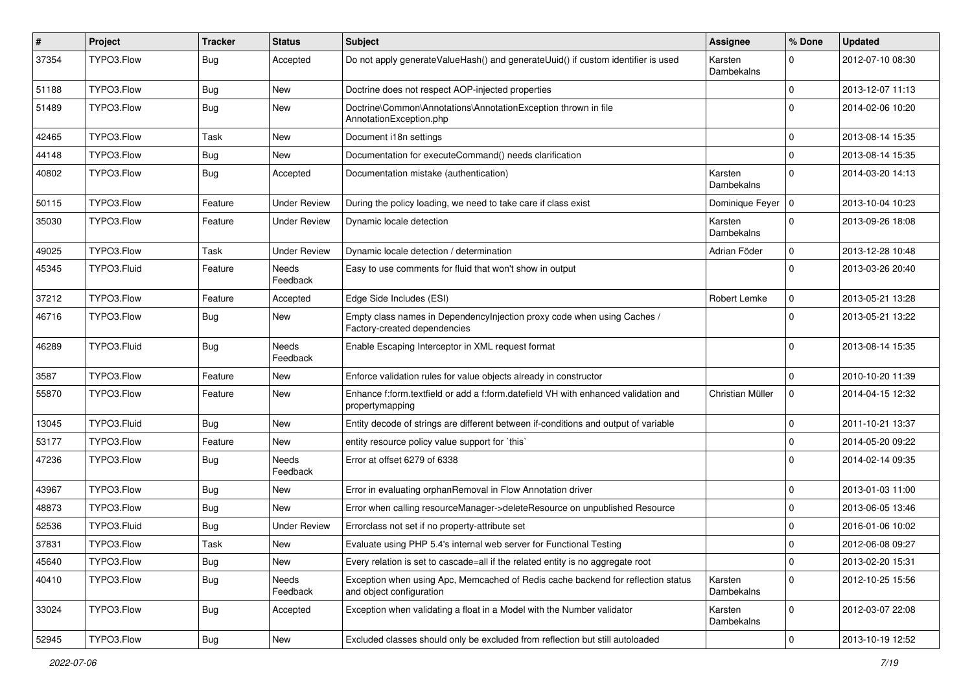| $\vert$ # | Project     | <b>Tracker</b> | <b>Status</b>            | <b>Subject</b>                                                                                               | <b>Assignee</b>       | % Done              | <b>Updated</b>   |
|-----------|-------------|----------------|--------------------------|--------------------------------------------------------------------------------------------------------------|-----------------------|---------------------|------------------|
| 37354     | TYPO3.Flow  | <b>Bug</b>     | Accepted                 | Do not apply generateValueHash() and generateUuid() if custom identifier is used                             | Karsten<br>Dambekalns | $\Omega$            | 2012-07-10 08:30 |
| 51188     | TYPO3.Flow  | <b>Bug</b>     | New                      | Doctrine does not respect AOP-injected properties                                                            |                       | $\mathbf 0$         | 2013-12-07 11:13 |
| 51489     | TYPO3.Flow  | <b>Bug</b>     | New                      | Doctrine\Common\Annotations\AnnotationException thrown in file<br>AnnotationException.php                    |                       | $\Omega$            | 2014-02-06 10:20 |
| 42465     | TYPO3.Flow  | Task           | New                      | Document i18n settings                                                                                       |                       | 0                   | 2013-08-14 15:35 |
| 44148     | TYPO3.Flow  | <b>Bug</b>     | New                      | Documentation for executeCommand() needs clarification                                                       |                       | $\Omega$            | 2013-08-14 15:35 |
| 40802     | TYPO3.Flow  | <b>Bug</b>     | Accepted                 | Documentation mistake (authentication)                                                                       | Karsten<br>Dambekalns | $\mathbf 0$         | 2014-03-20 14:13 |
| 50115     | TYPO3.Flow  | Feature        | <b>Under Review</b>      | During the policy loading, we need to take care if class exist                                               | Dominique Feyer   0   |                     | 2013-10-04 10:23 |
| 35030     | TYPO3.Flow  | Feature        | <b>Under Review</b>      | Dynamic locale detection                                                                                     | Karsten<br>Dambekalns | $\Omega$            | 2013-09-26 18:08 |
| 49025     | TYPO3.Flow  | Task           | <b>Under Review</b>      | Dynamic locale detection / determination                                                                     | Adrian Föder          | $\mathbf 0$         | 2013-12-28 10:48 |
| 45345     | TYPO3.Fluid | Feature        | Needs<br>Feedback        | Easy to use comments for fluid that won't show in output                                                     |                       | $\mathbf 0$         | 2013-03-26 20:40 |
| 37212     | TYPO3.Flow  | Feature        | Accepted                 | Edge Side Includes (ESI)                                                                                     | Robert Lemke          | $\mathbf 0$         | 2013-05-21 13:28 |
| 46716     | TYPO3.Flow  | <b>Bug</b>     | New                      | Empty class names in DependencyInjection proxy code when using Caches /<br>Factory-created dependencies      |                       | $\Omega$            | 2013-05-21 13:22 |
| 46289     | TYPO3.Fluid | <b>Bug</b>     | Needs<br>Feedback        | Enable Escaping Interceptor in XML request format                                                            |                       | $\Omega$            | 2013-08-14 15:35 |
| 3587      | TYPO3.Flow  | Feature        | New                      | Enforce validation rules for value objects already in constructor                                            |                       | $\mathbf 0$         | 2010-10-20 11:39 |
| 55870     | TYPO3.Flow  | Feature        | New                      | Enhance f:form.textfield or add a f:form.datefield VH with enhanced validation and<br>propertymapping        | Christian Müller      | $\mathbf 0$         | 2014-04-15 12:32 |
| 13045     | TYPO3.Fluid | Bug            | <b>New</b>               | Entity decode of strings are different between if-conditions and output of variable                          |                       | 0                   | 2011-10-21 13:37 |
| 53177     | TYPO3.Flow  | Feature        | New                      | entity resource policy value support for `this`                                                              |                       | 0                   | 2014-05-20 09:22 |
| 47236     | TYPO3.Flow  | <b>Bug</b>     | <b>Needs</b><br>Feedback | Error at offset 6279 of 6338                                                                                 |                       | $\Omega$            | 2014-02-14 09:35 |
| 43967     | TYPO3.Flow  | <b>Bug</b>     | New                      | Error in evaluating orphanRemoval in Flow Annotation driver                                                  |                       | $\Omega$            | 2013-01-03 11:00 |
| 48873     | TYPO3.Flow  | <b>Bug</b>     | New                      | Error when calling resourceManager->deleteResource on unpublished Resource                                   |                       | $\mathbf 0$         | 2013-06-05 13:46 |
| 52536     | TYPO3.Fluid | <b>Bug</b>     | <b>Under Review</b>      | Errorclass not set if no property-attribute set                                                              |                       | $\mathbf 0$         | 2016-01-06 10:02 |
| 37831     | TYPO3.Flow  | Task           | New                      | Evaluate using PHP 5.4's internal web server for Functional Testing                                          |                       | $\mathbf 0$         | 2012-06-08 09:27 |
| 45640     | TYPO3.Flow  | <b>Bug</b>     | New                      | Every relation is set to cascade=all if the related entity is no aggregate root                              |                       | $\mathsf{O}\xspace$ | 2013-02-20 15:31 |
| 40410     | TYPO3.Flow  | <b>Bug</b>     | Needs<br>Feedback        | Exception when using Apc, Memcached of Redis cache backend for reflection status<br>and object configuration | Karsten<br>Dambekalns | $\mathsf{O}\xspace$ | 2012-10-25 15:56 |
| 33024     | TYPO3.Flow  | <b>Bug</b>     | Accepted                 | Exception when validating a float in a Model with the Number validator                                       | Karsten<br>Dambekalns | $\mathbf 0$         | 2012-03-07 22:08 |
| 52945     | TYPO3.Flow  | <b>Bug</b>     | New                      | Excluded classes should only be excluded from reflection but still autoloaded                                |                       | $\pmb{0}$           | 2013-10-19 12:52 |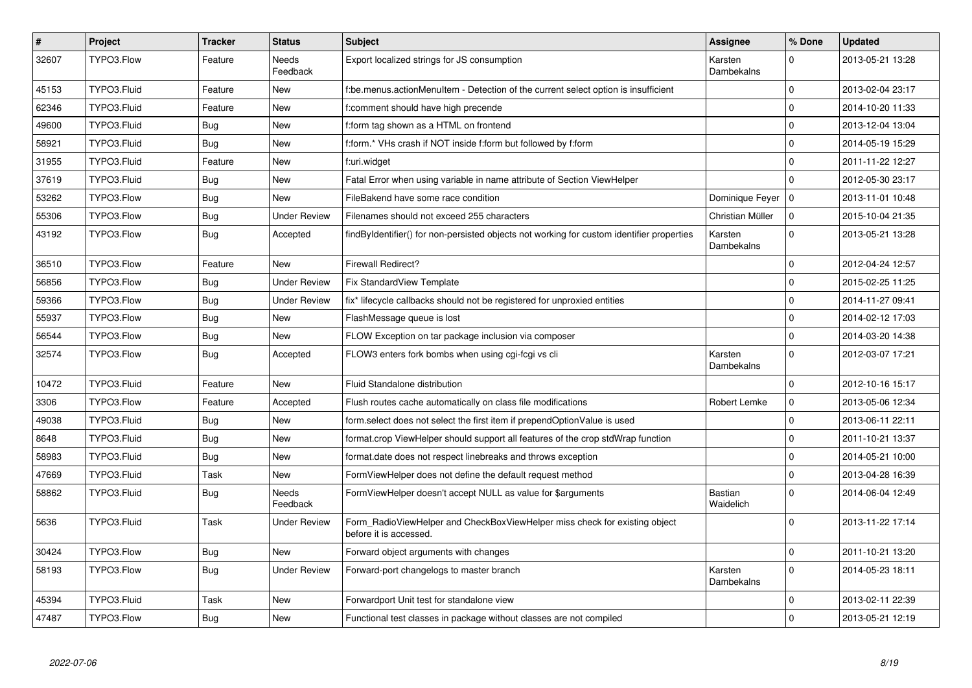| $\pmb{\#}$ | Project     | <b>Tracker</b> | <b>Status</b>       | <b>Subject</b>                                                                                       | Assignee                    | % Done      | <b>Updated</b>   |
|------------|-------------|----------------|---------------------|------------------------------------------------------------------------------------------------------|-----------------------------|-------------|------------------|
| 32607      | TYPO3.Flow  | Feature        | Needs<br>Feedback   | Export localized strings for JS consumption                                                          | Karsten<br>Dambekalns       | $\Omega$    | 2013-05-21 13:28 |
| 45153      | TYPO3.Fluid | Feature        | New                 | f:be.menus.actionMenuItem - Detection of the current select option is insufficient                   |                             | $\mathbf 0$ | 2013-02-04 23:17 |
| 62346      | TYPO3.Fluid | Feature        | New                 | f:comment should have high precende                                                                  |                             | $\mathbf 0$ | 2014-10-20 11:33 |
| 49600      | TYPO3.Fluid | <b>Bug</b>     | <b>New</b>          | f:form tag shown as a HTML on frontend                                                               |                             | $\Omega$    | 2013-12-04 13:04 |
| 58921      | TYPO3.Fluid | <b>Bug</b>     | New                 | f:form.* VHs crash if NOT inside f:form but followed by f:form                                       |                             | $\mathbf 0$ | 2014-05-19 15:29 |
| 31955      | TYPO3.Fluid | Feature        | New                 | f:uri.widget                                                                                         |                             | $\mathbf 0$ | 2011-11-22 12:27 |
| 37619      | TYPO3.Fluid | Bug            | New                 | Fatal Error when using variable in name attribute of Section ViewHelper                              |                             | $\mathbf 0$ | 2012-05-30 23:17 |
| 53262      | TYPO3.Flow  | Bug            | New                 | FileBakend have some race condition                                                                  | Dominique Feyer             | l o         | 2013-11-01 10:48 |
| 55306      | TYPO3.Flow  | <b>Bug</b>     | <b>Under Review</b> | Filenames should not exceed 255 characters                                                           | Christian Müller            | $\mathbf 0$ | 2015-10-04 21:35 |
| 43192      | TYPO3.Flow  | Bug            | Accepted            | findByIdentifier() for non-persisted objects not working for custom identifier properties            | Karsten<br>Dambekalns       | $\Omega$    | 2013-05-21 13:28 |
| 36510      | TYPO3.Flow  | Feature        | New                 | <b>Firewall Redirect?</b>                                                                            |                             | $\Omega$    | 2012-04-24 12:57 |
| 56856      | TYPO3.Flow  | Bug            | <b>Under Review</b> | Fix StandardView Template                                                                            |                             | $\mathbf 0$ | 2015-02-25 11:25 |
| 59366      | TYPO3.Flow  | <b>Bug</b>     | <b>Under Review</b> | fix* lifecycle callbacks should not be registered for unproxied entities                             |                             | $\mathbf 0$ | 2014-11-27 09:41 |
| 55937      | TYPO3.Flow  | <b>Bug</b>     | New                 | FlashMessage queue is lost                                                                           |                             | $\mathbf 0$ | 2014-02-12 17:03 |
| 56544      | TYPO3.Flow  | Bug            | New                 | FLOW Exception on tar package inclusion via composer                                                 |                             | $\mathbf 0$ | 2014-03-20 14:38 |
| 32574      | TYPO3.Flow  | <b>Bug</b>     | Accepted            | FLOW3 enters fork bombs when using cgi-fcgi vs cli                                                   | Karsten<br>Dambekalns       | $\Omega$    | 2012-03-07 17:21 |
| 10472      | TYPO3.Fluid | Feature        | New                 | Fluid Standalone distribution                                                                        |                             | $\Omega$    | 2012-10-16 15:17 |
| 3306       | TYPO3.Flow  | Feature        | Accepted            | Flush routes cache automatically on class file modifications                                         | Robert Lemke                | $\mathbf 0$ | 2013-05-06 12:34 |
| 49038      | TYPO3.Fluid | <b>Bug</b>     | New                 | form select does not select the first item if prependOptionValue is used                             |                             | $\mathbf 0$ | 2013-06-11 22:11 |
| 8648       | TYPO3.Fluid | <b>Bug</b>     | New                 | format.crop ViewHelper should support all features of the crop stdWrap function                      |                             | $\mathbf 0$ | 2011-10-21 13:37 |
| 58983      | TYPO3.Fluid | <b>Bug</b>     | New                 | format.date does not respect linebreaks and throws exception                                         |                             | $\Omega$    | 2014-05-21 10:00 |
| 47669      | TYPO3.Fluid | Task           | New                 | FormViewHelper does not define the default request method                                            |                             | $\mathbf 0$ | 2013-04-28 16:39 |
| 58862      | TYPO3.Fluid | <b>Bug</b>     | Needs<br>Feedback   | FormViewHelper doesn't accept NULL as value for \$arguments                                          | <b>Bastian</b><br>Waidelich | $\Omega$    | 2014-06-04 12:49 |
| 5636       | TYPO3.Fluid | Task           | Under Review        | Form_RadioViewHelper and CheckBoxViewHelper miss check for existing object<br>before it is accessed. |                             | $\Omega$    | 2013-11-22 17:14 |
| 30424      | TYPO3.Flow  | <b>Bug</b>     | New                 | Forward object arguments with changes                                                                |                             | $\mathbf 0$ | 2011-10-21 13:20 |
| 58193      | TYPO3.Flow  | <b>Bug</b>     | <b>Under Review</b> | Forward-port changelogs to master branch                                                             | Karsten<br>Dambekalns       | $\mathbf 0$ | 2014-05-23 18:11 |
| 45394      | TYPO3.Fluid | Task           | New                 | Forwardport Unit test for standalone view                                                            |                             | $\mathbf 0$ | 2013-02-11 22:39 |
| 47487      | TYPO3.Flow  | <b>Bug</b>     | New                 | Functional test classes in package without classes are not compiled                                  |                             | $\Omega$    | 2013-05-21 12:19 |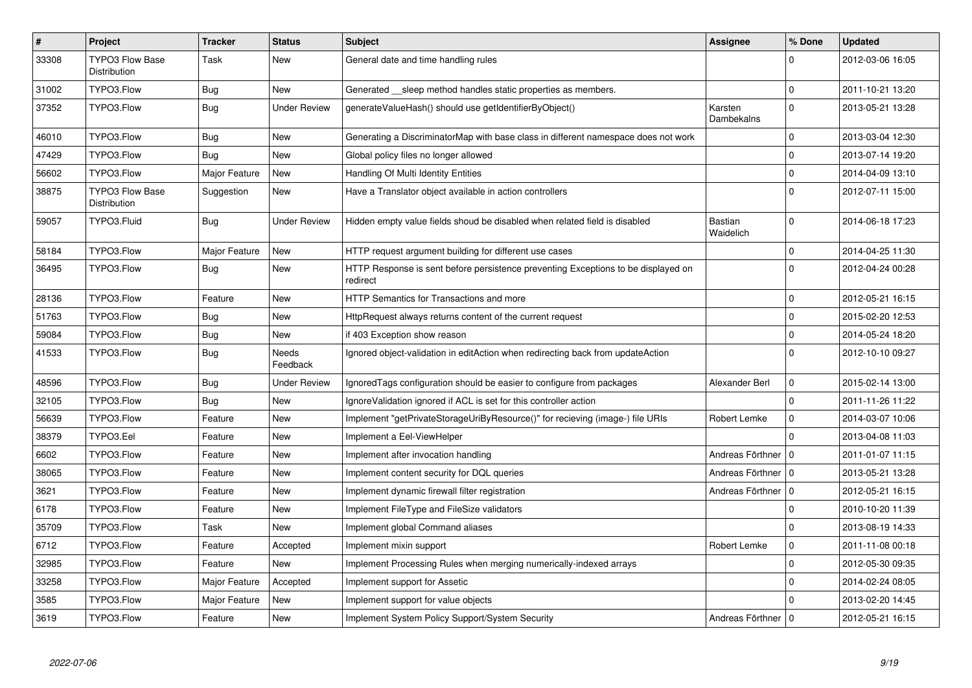| $\pmb{\#}$ | <b>Project</b>                                | <b>Tracker</b> | <b>Status</b>       | <b>Subject</b>                                                                                | Assignee              | % Done       | <b>Updated</b>   |
|------------|-----------------------------------------------|----------------|---------------------|-----------------------------------------------------------------------------------------------|-----------------------|--------------|------------------|
| 33308      | <b>TYPO3 Flow Base</b><br>Distribution        | Task           | New                 | General date and time handling rules                                                          |                       | U            | 2012-03-06 16:05 |
| 31002      | TYPO3.Flow                                    | <b>Bug</b>     | <b>New</b>          | Generated sleep method handles static properties as members.                                  |                       | $\Omega$     | 2011-10-21 13:20 |
| 37352      | TYPO3.Flow                                    | <b>Bug</b>     | <b>Under Review</b> | generateValueHash() should use getIdentifierByObject()                                        | Karsten<br>Dambekalns | $\mathbf{0}$ | 2013-05-21 13:28 |
| 46010      | TYPO3.Flow                                    | Bug            | New                 | Generating a DiscriminatorMap with base class in different namespace does not work            |                       | $\Omega$     | 2013-03-04 12:30 |
| 47429      | TYPO3.Flow                                    | Bug            | New                 | Global policy files no longer allowed                                                         |                       | $\mathbf 0$  | 2013-07-14 19:20 |
| 56602      | TYPO3.Flow                                    | Major Feature  | New                 | Handling Of Multi Identity Entities                                                           |                       | $\mathbf 0$  | 2014-04-09 13:10 |
| 38875      | <b>TYPO3 Flow Base</b><br><b>Distribution</b> | Suggestion     | New                 | Have a Translator object available in action controllers                                      |                       | $\Omega$     | 2012-07-11 15:00 |
| 59057      | TYPO3.Fluid                                   | Bug            | <b>Under Review</b> | Hidden empty value fields shoud be disabled when related field is disabled                    | Bastian<br>Waidelich  | $\Omega$     | 2014-06-18 17:23 |
| 58184      | TYPO3.Flow                                    | Major Feature  | New                 | HTTP request argument building for different use cases                                        |                       | $\mathbf 0$  | 2014-04-25 11:30 |
| 36495      | TYPO3.Flow                                    | <b>Bug</b>     | New                 | HTTP Response is sent before persistence preventing Exceptions to be displayed on<br>redirect |                       | $\Omega$     | 2012-04-24 00:28 |
| 28136      | TYPO3.Flow                                    | Feature        | New                 | HTTP Semantics for Transactions and more                                                      |                       | $\Omega$     | 2012-05-21 16:15 |
| 51763      | TYPO3.Flow                                    | <b>Bug</b>     | New                 | HttpRequest always returns content of the current request                                     |                       | $\Omega$     | 2015-02-20 12:53 |
| 59084      | TYPO3.Flow                                    | <b>Bug</b>     | New                 | if 403 Exception show reason                                                                  |                       | $\Omega$     | 2014-05-24 18:20 |
| 41533      | TYPO3.Flow                                    | <b>Bug</b>     | Needs<br>Feedback   | Ignored object-validation in editAction when redirecting back from updateAction               |                       | $\Omega$     | 2012-10-10 09:27 |
| 48596      | TYPO3.Flow                                    | Bug            | <b>Under Review</b> | IgnoredTags configuration should be easier to configure from packages                         | Alexander Berl        | $\mathbf 0$  | 2015-02-14 13:00 |
| 32105      | TYPO3.Flow                                    | Bug            | New                 | IgnoreValidation ignored if ACL is set for this controller action                             |                       | $\Omega$     | 2011-11-26 11:22 |
| 56639      | TYPO3.Flow                                    | Feature        | New                 | Implement "getPrivateStorageUriByResource()" for recieving (image-) file URIs                 | Robert Lemke          | $\mathbf 0$  | 2014-03-07 10:06 |
| 38379      | TYPO3.Eel                                     | Feature        | New                 | Implement a Eel-ViewHelper                                                                    |                       | $\Omega$     | 2013-04-08 11:03 |
| 6602       | TYPO3.Flow                                    | Feature        | New                 | Implement after invocation handling                                                           | Andreas Förthner   0  |              | 2011-01-07 11:15 |
| 38065      | TYPO3.Flow                                    | Feature        | <b>New</b>          | Implement content security for DQL queries                                                    | Andreas Förthner   0  |              | 2013-05-21 13:28 |
| 3621       | TYPO3.Flow                                    | Feature        | New                 | Implement dynamic firewall filter registration                                                | Andreas Förthner   0  |              | 2012-05-21 16:15 |
| 6178       | TYPO3.Flow                                    | Feature        | <b>New</b>          | Implement FileType and FileSize validators                                                    |                       | $\Omega$     | 2010-10-20 11:39 |
| 35709      | TYPO3.Flow                                    | Task           | New                 | Implement global Command aliases                                                              |                       | $\Omega$     | 2013-08-19 14:33 |
| 6712       | TYPO3.Flow                                    | Feature        | Accepted            | Implement mixin support                                                                       | Robert Lemke          | $\mathbf 0$  | 2011-11-08 00:18 |
| 32985      | TYPO3.Flow                                    | Feature        | <b>New</b>          | Implement Processing Rules when merging numerically-indexed arrays                            |                       | $\mathbf{0}$ | 2012-05-30 09:35 |
| 33258      | TYPO3.Flow                                    | Major Feature  | Accepted            | Implement support for Assetic                                                                 |                       | $\Omega$     | 2014-02-24 08:05 |
| 3585       | TYPO3.Flow                                    | Major Feature  | New                 | Implement support for value objects                                                           |                       | 0            | 2013-02-20 14:45 |
| 3619       | TYPO3.Flow                                    | Feature        | New                 | Implement System Policy Support/System Security                                               | Andreas Förthner   0  |              | 2012-05-21 16:15 |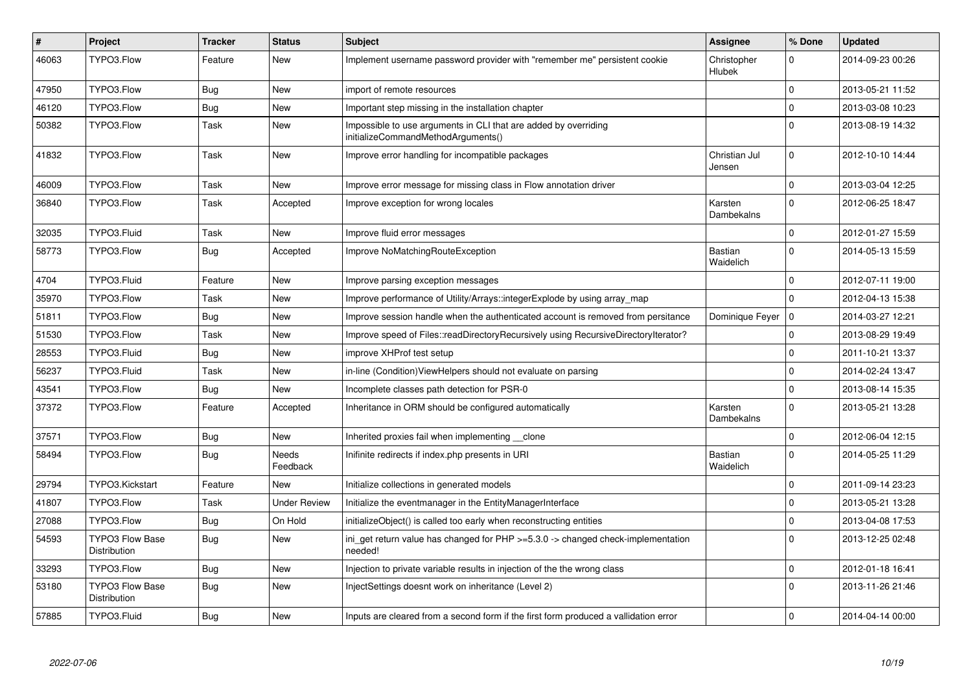| $\vert$ # | <b>Project</b>                         | <b>Tracker</b> | <b>Status</b>     | <b>Subject</b>                                                                                        | Assignee                | % Done       | <b>Updated</b>   |
|-----------|----------------------------------------|----------------|-------------------|-------------------------------------------------------------------------------------------------------|-------------------------|--------------|------------------|
| 46063     | TYPO3.Flow                             | Feature        | <b>New</b>        | Implement username password provider with "remember me" persistent cookie                             | Christopher<br>Hlubek   | $\Omega$     | 2014-09-23 00:26 |
| 47950     | TYPO3.Flow                             | Bug            | New               | import of remote resources                                                                            |                         | $\mathbf 0$  | 2013-05-21 11:52 |
| 46120     | TYPO3.Flow                             | <b>Bug</b>     | New               | Important step missing in the installation chapter                                                    |                         | $\Omega$     | 2013-03-08 10:23 |
| 50382     | TYPO3.Flow                             | Task           | <b>New</b>        | Impossible to use arguments in CLI that are added by overriding<br>initializeCommandMethodArguments() |                         | $\mathbf{0}$ | 2013-08-19 14:32 |
| 41832     | TYPO3.Flow                             | Task           | New               | Improve error handling for incompatible packages                                                      | Christian Jul<br>Jensen | $\mathbf 0$  | 2012-10-10 14:44 |
| 46009     | TYPO3.Flow                             | Task           | New               | Improve error message for missing class in Flow annotation driver                                     |                         | $\mathbf 0$  | 2013-03-04 12:25 |
| 36840     | TYPO3.Flow                             | Task           | Accepted          | Improve exception for wrong locales                                                                   | Karsten<br>Dambekalns   | $\Omega$     | 2012-06-25 18:47 |
| 32035     | TYPO3.Fluid                            | Task           | New               | Improve fluid error messages                                                                          |                         | $\mathbf 0$  | 2012-01-27 15:59 |
| 58773     | TYPO3.Flow                             | <b>Bug</b>     | Accepted          | Improve NoMatchingRouteException                                                                      | Bastian<br>Waidelich    | $\Omega$     | 2014-05-13 15:59 |
| 4704      | TYPO3.Fluid                            | Feature        | New               | Improve parsing exception messages                                                                    |                         | $\mathbf 0$  | 2012-07-11 19:00 |
| 35970     | TYPO3.Flow                             | Task           | <b>New</b>        | Improve performance of Utility/Arrays::integerExplode by using array map                              |                         | $\Omega$     | 2012-04-13 15:38 |
| 51811     | TYPO3.Flow                             | <b>Bug</b>     | <b>New</b>        | Improve session handle when the authenticated account is removed from persitance                      | Dominique Feyer         | l 0          | 2014-03-27 12:21 |
| 51530     | TYPO3.Flow                             | Task           | <b>New</b>        | Improve speed of Files::readDirectoryRecursively using RecursiveDirectoryIterator?                    |                         | $\Omega$     | 2013-08-29 19:49 |
| 28553     | TYPO3.Fluid                            | Bug            | New               | improve XHProf test setup                                                                             |                         | $\mathbf 0$  | 2011-10-21 13:37 |
| 56237     | TYPO3.Fluid                            | Task           | <b>New</b>        | in-line (Condition) View Helpers should not evaluate on parsing                                       |                         | $\Omega$     | 2014-02-24 13:47 |
| 43541     | TYPO3.Flow                             | <b>Bug</b>     | <b>New</b>        | Incomplete classes path detection for PSR-0                                                           |                         | $\Omega$     | 2013-08-14 15:35 |
| 37372     | TYPO3.Flow                             | Feature        | Accepted          | Inheritance in ORM should be configured automatically                                                 | Karsten<br>Dambekalns   | $\mathbf{0}$ | 2013-05-21 13:28 |
| 37571     | TYPO3.Flow                             | <b>Bug</b>     | New               | Inherited proxies fail when implementing __clone                                                      |                         | $\mathbf 0$  | 2012-06-04 12:15 |
| 58494     | TYPO3.Flow                             | Bug            | Needs<br>Feedback | Inifinite redirects if index.php presents in URI                                                      | Bastian<br>Waidelich    | $\Omega$     | 2014-05-25 11:29 |
| 29794     | TYPO3.Kickstart                        | Feature        | <b>New</b>        | Initialize collections in generated models                                                            |                         | $\mathbf 0$  | 2011-09-14 23:23 |
| 41807     | TYPO3.Flow                             | Task           | Under Review      | Initialize the eventmanager in the EntityManagerInterface                                             |                         | $\mathbf 0$  | 2013-05-21 13:28 |
| 27088     | TYPO3.Flow                             | Bug            | On Hold           | initializeObject() is called too early when reconstructing entities                                   |                         | $\mathbf 0$  | 2013-04-08 17:53 |
| 54593     | <b>TYPO3 Flow Base</b><br>Distribution | <b>Bug</b>     | New               | ini get return value has changed for $PHP \ge 5.3.0 \ge$ changed check-implementation<br>needed!      |                         | $\mathbf{0}$ | 2013-12-25 02:48 |
| 33293     | TYPO3.Flow                             | Bug            | New               | Injection to private variable results in injection of the the wrong class                             |                         | $\mathbf 0$  | 2012-01-18 16:41 |
| 53180     | <b>TYPO3 Flow Base</b><br>Distribution | <b>Bug</b>     | New               | InjectSettings doesnt work on inheritance (Level 2)                                                   |                         | $\mathbf{0}$ | 2013-11-26 21:46 |
| 57885     | TYPO3.Fluid                            | <b>Bug</b>     | New               | Inputs are cleared from a second form if the first form produced a vallidation error                  |                         | $\mathbf 0$  | 2014-04-14 00:00 |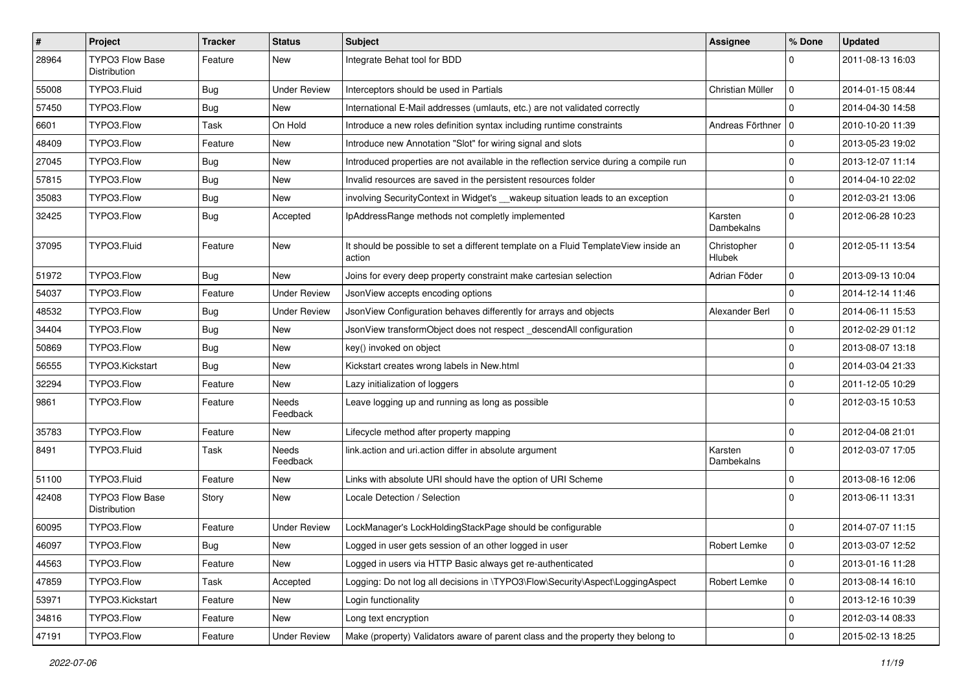| $\vert$ # | Project                                | <b>Tracker</b> | <b>Status</b>       | Subject                                                                                       | Assignee              | % Done      | <b>Updated</b>   |
|-----------|----------------------------------------|----------------|---------------------|-----------------------------------------------------------------------------------------------|-----------------------|-------------|------------------|
| 28964     | <b>TYPO3 Flow Base</b><br>Distribution | Feature        | New                 | Integrate Behat tool for BDD                                                                  |                       | $\Omega$    | 2011-08-13 16:03 |
| 55008     | TYPO3.Fluid                            | <b>Bug</b>     | Under Review        | Interceptors should be used in Partials                                                       | Christian Müller      | $\mathbf 0$ | 2014-01-15 08:44 |
| 57450     | TYPO3.Flow                             | <b>Bug</b>     | New                 | International E-Mail addresses (umlauts, etc.) are not validated correctly                    |                       | $\Omega$    | 2014-04-30 14:58 |
| 6601      | TYPO3.Flow                             | Task           | On Hold             | Introduce a new roles definition syntax including runtime constraints                         | Andreas Förthner   0  |             | 2010-10-20 11:39 |
| 48409     | TYPO3.Flow                             | Feature        | New                 | Introduce new Annotation "Slot" for wiring signal and slots                                   |                       | $\mathbf 0$ | 2013-05-23 19:02 |
| 27045     | TYPO3.Flow                             | <b>Bug</b>     | New                 | Introduced properties are not available in the reflection service during a compile run        |                       | $\mathbf 0$ | 2013-12-07 11:14 |
| 57815     | TYPO3.Flow                             | <b>Bug</b>     | New                 | Invalid resources are saved in the persistent resources folder                                |                       | $\mathbf 0$ | 2014-04-10 22:02 |
| 35083     | TYPO3.Flow                             | <b>Bug</b>     | New                 | involving SecurityContext in Widget's __wakeup situation leads to an exception                |                       | $\mathbf 0$ | 2012-03-21 13:06 |
| 32425     | TYPO3.Flow                             | <b>Bug</b>     | Accepted            | IpAddressRange methods not completly implemented                                              | Karsten<br>Dambekalns | $\Omega$    | 2012-06-28 10:23 |
| 37095     | TYPO3.Fluid                            | Feature        | New                 | It should be possible to set a different template on a Fluid TemplateView inside an<br>action | Christopher<br>Hlubek | $\mathbf 0$ | 2012-05-11 13:54 |
| 51972     | TYPO3.Flow                             | Bug            | New                 | Joins for every deep property constraint make cartesian selection                             | Adrian Föder          | $\mathbf 0$ | 2013-09-13 10:04 |
| 54037     | TYPO3.Flow                             | Feature        | <b>Under Review</b> | JsonView accepts encoding options                                                             |                       | $\Omega$    | 2014-12-14 11:46 |
| 48532     | TYPO3.Flow                             | <b>Bug</b>     | <b>Under Review</b> | JsonView Configuration behaves differently for arrays and objects                             | Alexander Berl        | $\mathbf 0$ | 2014-06-11 15:53 |
| 34404     | TYPO3.Flow                             | <b>Bug</b>     | New                 | JsonView transformObject does not respect_descendAll configuration                            |                       | $\mathbf 0$ | 2012-02-29 01:12 |
| 50869     | TYPO3.Flow                             | <b>Bug</b>     | New                 | key() invoked on object                                                                       |                       | $\mathbf 0$ | 2013-08-07 13:18 |
| 56555     | TYPO3.Kickstart                        | Bug            | New                 | Kickstart creates wrong labels in New.html                                                    |                       | $\mathbf 0$ | 2014-03-04 21:33 |
| 32294     | TYPO3.Flow                             | Feature        | New                 | Lazy initialization of loggers                                                                |                       | $\mathbf 0$ | 2011-12-05 10:29 |
| 9861      | TYPO3.Flow                             | Feature        | Needs<br>Feedback   | Leave logging up and running as long as possible                                              |                       | $\Omega$    | 2012-03-15 10:53 |
| 35783     | TYPO3.Flow                             | Feature        | New                 | Lifecycle method after property mapping                                                       |                       | $\mathbf 0$ | 2012-04-08 21:01 |
| 8491      | TYPO3.Fluid                            | Task           | Needs<br>Feedback   | link.action and uri.action differ in absolute argument                                        | Karsten<br>Dambekalns | $\mathbf 0$ | 2012-03-07 17:05 |
| 51100     | TYPO3.Fluid                            | Feature        | New                 | Links with absolute URI should have the option of URI Scheme                                  |                       | $\mathbf 0$ | 2013-08-16 12:06 |
| 42408     | <b>TYPO3 Flow Base</b><br>Distribution | Story          | New                 | Locale Detection / Selection                                                                  |                       | $\Omega$    | 2013-06-11 13:31 |
| 60095     | TYPO3.Flow                             | Feature        | <b>Under Review</b> | LockManager's LockHoldingStackPage should be configurable                                     |                       | $\mathbf 0$ | 2014-07-07 11:15 |
| 46097     | TYPO3.Flow                             | i Bug          | New                 | Logged in user gets session of an other logged in user                                        | Robert Lemke          | $\mathbf 0$ | 2013-03-07 12:52 |
| 44563     | TYPO3.Flow                             | Feature        | New                 | Logged in users via HTTP Basic always get re-authenticated                                    |                       | $\mathbf 0$ | 2013-01-16 11:28 |
| 47859     | TYPO3.Flow                             | Task           | Accepted            | Logging: Do not log all decisions in \TYPO3\Flow\Security\Aspect\LoggingAspect                | Robert Lemke          | 0           | 2013-08-14 16:10 |
| 53971     | TYPO3.Kickstart                        | Feature        | New                 | Login functionality                                                                           |                       | $\mathbf 0$ | 2013-12-16 10:39 |
| 34816     | TYPO3.Flow                             | Feature        | New                 | Long text encryption                                                                          |                       | 0           | 2012-03-14 08:33 |
| 47191     | TYPO3.Flow                             | Feature        | <b>Under Review</b> | Make (property) Validators aware of parent class and the property they belong to              |                       | $\mathbf 0$ | 2015-02-13 18:25 |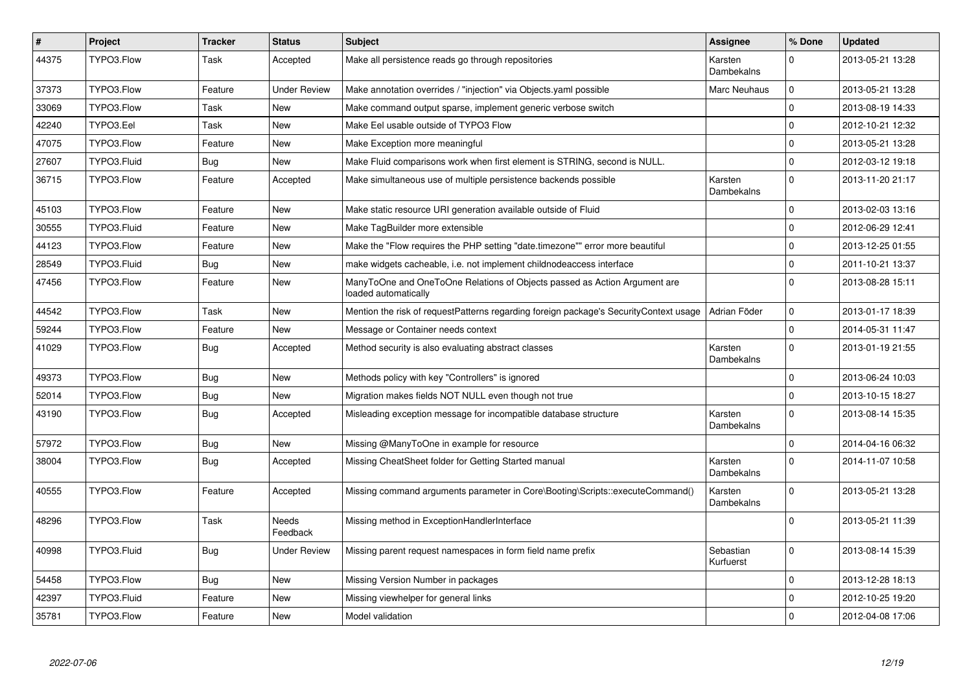| $\pmb{\#}$ | Project     | <b>Tracker</b> | <b>Status</b>       | <b>Subject</b>                                                                                    | Assignee                     | % Done      | <b>Updated</b>   |
|------------|-------------|----------------|---------------------|---------------------------------------------------------------------------------------------------|------------------------------|-------------|------------------|
| 44375      | TYPO3.Flow  | Task           | Accepted            | Make all persistence reads go through repositories                                                | Karsten<br><b>Dambekalns</b> | $\Omega$    | 2013-05-21 13:28 |
| 37373      | TYPO3.Flow  | Feature        | <b>Under Review</b> | Make annotation overrides / "injection" via Objects yaml possible                                 | Marc Neuhaus                 | $\mathbf 0$ | 2013-05-21 13:28 |
| 33069      | TYPO3.Flow  | Task           | New                 | Make command output sparse, implement generic verbose switch                                      |                              | $\mathbf 0$ | 2013-08-19 14:33 |
| 42240      | TYPO3.Eel   | Task           | New                 | Make Eel usable outside of TYPO3 Flow                                                             |                              | $\Omega$    | 2012-10-21 12:32 |
| 47075      | TYPO3.Flow  | Feature        | New                 | Make Exception more meaningful                                                                    |                              | $\mathbf 0$ | 2013-05-21 13:28 |
| 27607      | TYPO3.Fluid | <b>Bug</b>     | <b>New</b>          | Make Fluid comparisons work when first element is STRING, second is NULL.                         |                              | $\mathbf 0$ | 2012-03-12 19:18 |
| 36715      | TYPO3.Flow  | Feature        | Accepted            | Make simultaneous use of multiple persistence backends possible                                   | Karsten<br>Dambekalns        | $\Omega$    | 2013-11-20 21:17 |
| 45103      | TYPO3.Flow  | Feature        | New                 | Make static resource URI generation available outside of Fluid                                    |                              | $\mathbf 0$ | 2013-02-03 13:16 |
| 30555      | TYPO3.Fluid | Feature        | New                 | Make TagBuilder more extensible                                                                   |                              | $\mathbf 0$ | 2012-06-29 12:41 |
| 44123      | TYPO3.Flow  | Feature        | New                 | Make the "Flow requires the PHP setting "date.timezone"" error more beautiful                     |                              | $\mathbf 0$ | 2013-12-25 01:55 |
| 28549      | TYPO3.Fluid | Bug            | New                 | make widgets cacheable, i.e. not implement childnodeaccess interface                              |                              | $\mathbf 0$ | 2011-10-21 13:37 |
| 47456      | TYPO3.Flow  | Feature        | New                 | ManyToOne and OneToOne Relations of Objects passed as Action Argument are<br>loaded automatically |                              | $\Omega$    | 2013-08-28 15:11 |
| 44542      | TYPO3.Flow  | Task           | New                 | Mention the risk of requestPatterns regarding foreign package's SecurityContext usage             | Adrian Föder                 | $\mathbf 0$ | 2013-01-17 18:39 |
| 59244      | TYPO3.Flow  | Feature        | New                 | Message or Container needs context                                                                |                              | $\mathbf 0$ | 2014-05-31 11:47 |
| 41029      | TYPO3.Flow  | Bug            | Accepted            | Method security is also evaluating abstract classes                                               | Karsten<br>Dambekalns        | $\Omega$    | 2013-01-19 21:55 |
| 49373      | TYPO3.Flow  | Bug            | New                 | Methods policy with key "Controllers" is ignored                                                  |                              | $\mathbf 0$ | 2013-06-24 10:03 |
| 52014      | TYPO3.Flow  | <b>Bug</b>     | New                 | Migration makes fields NOT NULL even though not true                                              |                              | $\mathbf 0$ | 2013-10-15 18:27 |
| 43190      | TYPO3.Flow  | <b>Bug</b>     | Accepted            | Misleading exception message for incompatible database structure                                  | Karsten<br>Dambekalns        | $\Omega$    | 2013-08-14 15:35 |
| 57972      | TYPO3.Flow  | <b>Bug</b>     | New                 | Missing @ManyToOne in example for resource                                                        |                              | $\Omega$    | 2014-04-16 06:32 |
| 38004      | TYPO3.Flow  | Bug            | Accepted            | Missing CheatSheet folder for Getting Started manual                                              | Karsten<br>Dambekalns        | $\mathbf 0$ | 2014-11-07 10:58 |
| 40555      | TYPO3.Flow  | Feature        | Accepted            | Missing command arguments parameter in Core\Booting\Scripts::executeCommand()                     | Karsten<br>Dambekalns        | $\Omega$    | 2013-05-21 13:28 |
| 48296      | TYPO3.Flow  | Task           | Needs<br>Feedback   | Missing method in ExceptionHandlerInterface                                                       |                              | $\Omega$    | 2013-05-21 11:39 |
| 40998      | TYPO3.Fluid | <b>Bug</b>     | <b>Under Review</b> | Missing parent request namespaces in form field name prefix                                       | Sebastian<br>Kurfuerst       | $\mathbf 0$ | 2013-08-14 15:39 |
| 54458      | TYPO3.Flow  | <b>Bug</b>     | New                 | Missing Version Number in packages                                                                |                              | $\pmb{0}$   | 2013-12-28 18:13 |
| 42397      | TYPO3.Fluid | Feature        | New                 | Missing viewhelper for general links                                                              |                              | $\mathbf 0$ | 2012-10-25 19:20 |
| 35781      | TYPO3.Flow  | Feature        | New                 | Model validation                                                                                  |                              | $\Omega$    | 2012-04-08 17:06 |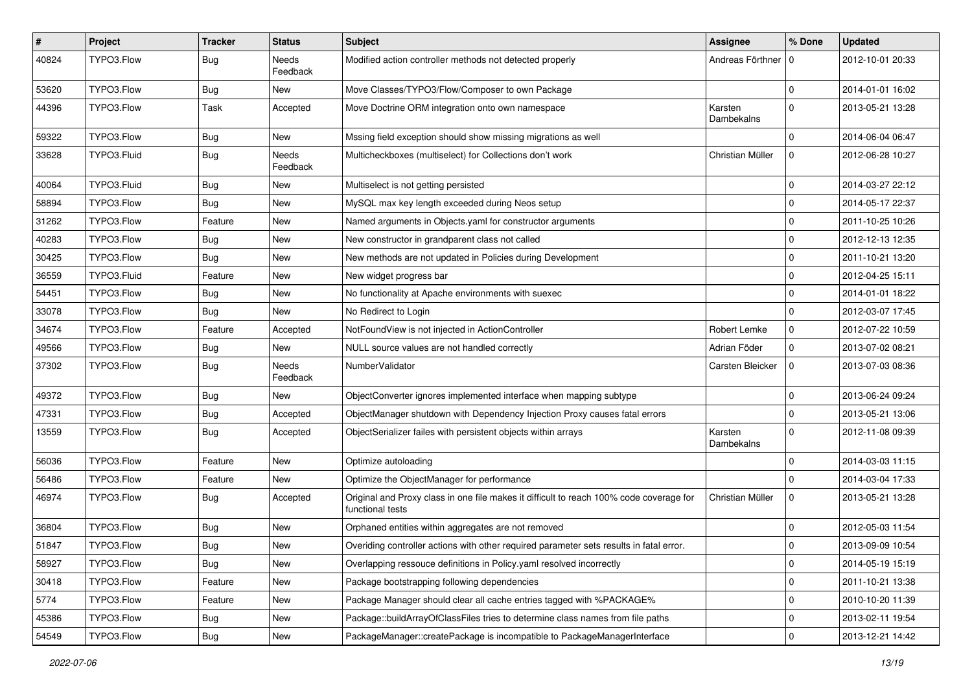| $\sharp$ | Project     | <b>Tracker</b> | <b>Status</b>     | <b>Subject</b>                                                                                              | <b>Assignee</b>       | % Done       | <b>Updated</b>   |
|----------|-------------|----------------|-------------------|-------------------------------------------------------------------------------------------------------------|-----------------------|--------------|------------------|
| 40824    | TYPO3.Flow  | <b>Bug</b>     | Needs<br>Feedback | Modified action controller methods not detected properly                                                    | Andreas Förthner   0  |              | 2012-10-01 20:33 |
| 53620    | TYPO3.Flow  | <b>Bug</b>     | New               | Move Classes/TYPO3/Flow/Composer to own Package                                                             |                       | $\Omega$     | 2014-01-01 16:02 |
| 44396    | TYPO3.Flow  | <b>Task</b>    | Accepted          | Move Doctrine ORM integration onto own namespace                                                            | Karsten<br>Dambekalns | $\Omega$     | 2013-05-21 13:28 |
| 59322    | TYPO3.Flow  | <b>Bug</b>     | New               | Mssing field exception should show missing migrations as well                                               |                       | $\Omega$     | 2014-06-04 06:47 |
| 33628    | TYPO3.Fluid | <b>Bug</b>     | Needs<br>Feedback | Multicheckboxes (multiselect) for Collections don't work                                                    | Christian Müller      | $\Omega$     | 2012-06-28 10:27 |
| 40064    | TYPO3.Fluid | <b>Bug</b>     | New               | Multiselect is not getting persisted                                                                        |                       | $\Omega$     | 2014-03-27 22:12 |
| 58894    | TYPO3.Flow  | <b>Bug</b>     | <b>New</b>        | MySQL max key length exceeded during Neos setup                                                             |                       | $\mathbf 0$  | 2014-05-17 22:37 |
| 31262    | TYPO3.Flow  | Feature        | New               | Named arguments in Objects yaml for constructor arguments                                                   |                       | $\mathbf 0$  | 2011-10-25 10:26 |
| 40283    | TYPO3.Flow  | <b>Bug</b>     | New               | New constructor in grandparent class not called                                                             |                       | $\mathbf 0$  | 2012-12-13 12:35 |
| 30425    | TYPO3.Flow  | <b>Bug</b>     | New               | New methods are not updated in Policies during Development                                                  |                       | $\mathbf 0$  | 2011-10-21 13:20 |
| 36559    | TYPO3.Fluid | Feature        | New               | New widget progress bar                                                                                     |                       | $\mathbf 0$  | 2012-04-25 15:11 |
| 54451    | TYPO3.Flow  | <b>Bug</b>     | New               | No functionality at Apache environments with suexec                                                         |                       | $\Omega$     | 2014-01-01 18:22 |
| 33078    | TYPO3.Flow  | Bug            | New               | No Redirect to Login                                                                                        |                       | $\mathbf 0$  | 2012-03-07 17:45 |
| 34674    | TYPO3.Flow  | Feature        | Accepted          | NotFoundView is not injected in ActionController                                                            | Robert Lemke          | $\mathbf 0$  | 2012-07-22 10:59 |
| 49566    | TYPO3.Flow  | <b>Bug</b>     | New               | NULL source values are not handled correctly                                                                | Adrian Föder          | $\mathbf 0$  | 2013-07-02 08:21 |
| 37302    | TYPO3.Flow  | <b>Bug</b>     | Needs<br>Feedback | NumberValidator                                                                                             | Carsten Bleicker      | $\Omega$     | 2013-07-03 08:36 |
| 49372    | TYPO3.Flow  | <b>Bug</b>     | New               | ObjectConverter ignores implemented interface when mapping subtype                                          |                       | $\mathbf 0$  | 2013-06-24 09:24 |
| 47331    | TYPO3.Flow  | <b>Bug</b>     | Accepted          | ObjectManager shutdown with Dependency Injection Proxy causes fatal errors                                  |                       | $\mathbf{0}$ | 2013-05-21 13:06 |
| 13559    | TYPO3.Flow  | <b>Bug</b>     | Accepted          | ObjectSerializer failes with persistent objects within arrays                                               | Karsten<br>Dambekalns | $\mathbf{0}$ | 2012-11-08 09:39 |
| 56036    | TYPO3.Flow  | Feature        | New               | Optimize autoloading                                                                                        |                       | $\Omega$     | 2014-03-03 11:15 |
| 56486    | TYPO3.Flow  | Feature        | New               | Optimize the ObjectManager for performance                                                                  |                       | $\Omega$     | 2014-03-04 17:33 |
| 46974    | TYPO3.Flow  | <b>Bug</b>     | Accepted          | Original and Proxy class in one file makes it difficult to reach 100% code coverage for<br>functional tests | Christian Müller      | 0            | 2013-05-21 13:28 |
| 36804    | TYPO3.Flow  | <b>Bug</b>     | New               | Orphaned entities within aggregates are not removed                                                         |                       | 0            | 2012-05-03 11:54 |
| 51847    | TYPO3.Flow  | <b>Bug</b>     | New               | Overiding controller actions with other required parameter sets results in fatal error.                     |                       | $\Omega$     | 2013-09-09 10:54 |
| 58927    | TYPO3.Flow  | <b>Bug</b>     | New               | Overlapping ressouce definitions in Policy.yaml resolved incorrectly                                        |                       | $\mathbf 0$  | 2014-05-19 15:19 |
| 30418    | TYPO3.Flow  | Feature        | New               | Package bootstrapping following dependencies                                                                |                       | 0            | 2011-10-21 13:38 |
| 5774     | TYPO3.Flow  | Feature        | New               | Package Manager should clear all cache entries tagged with %PACKAGE%                                        |                       | $\mathbf 0$  | 2010-10-20 11:39 |
| 45386    | TYPO3.Flow  | Bug            | New               | Package::buildArrayOfClassFiles tries to determine class names from file paths                              |                       | 0            | 2013-02-11 19:54 |
| 54549    | TYPO3.Flow  | Bug            | New               | PackageManager::createPackage is incompatible to PackageManagerInterface                                    |                       | $\mathbf 0$  | 2013-12-21 14:42 |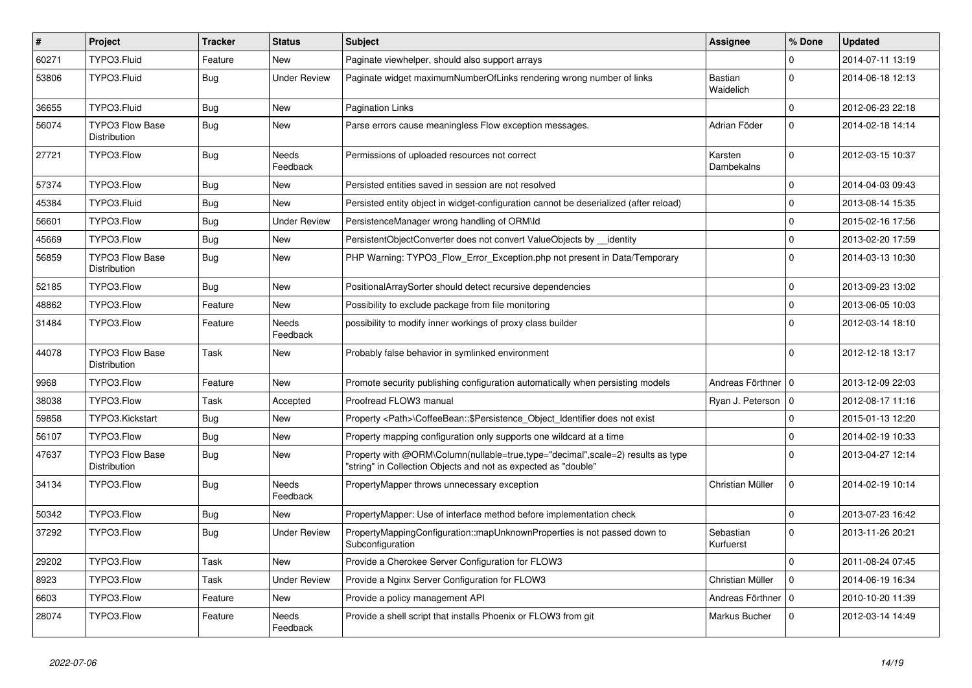| $\pmb{\#}$ | Project                                       | <b>Tracker</b> | <b>Status</b>            | <b>Subject</b>                                                                                                                                    | <b>Assignee</b>        | % Done         | <b>Updated</b>   |
|------------|-----------------------------------------------|----------------|--------------------------|---------------------------------------------------------------------------------------------------------------------------------------------------|------------------------|----------------|------------------|
| 60271      | TYPO3.Fluid                                   | Feature        | <b>New</b>               | Paginate viewhelper, should also support arrays                                                                                                   |                        | $\Omega$       | 2014-07-11 13:19 |
| 53806      | TYPO3.Fluid                                   | <b>Bug</b>     | <b>Under Review</b>      | Paginate widget maximumNumberOfLinks rendering wrong number of links                                                                              | Bastian<br>Waidelich   | $\Omega$       | 2014-06-18 12:13 |
| 36655      | TYPO3.Fluid                                   | <b>Bug</b>     | New                      | Pagination Links                                                                                                                                  |                        | $\mathbf 0$    | 2012-06-23 22:18 |
| 56074      | <b>TYPO3 Flow Base</b><br><b>Distribution</b> | Bug            | New                      | Parse errors cause meaningless Flow exception messages.                                                                                           | Adrian Föder           | $\Omega$       | 2014-02-18 14:14 |
| 27721      | TYPO3.Flow                                    | <b>Bug</b>     | Needs<br>Feedback        | Permissions of uploaded resources not correct                                                                                                     | Karsten<br>Dambekalns  | $\Omega$       | 2012-03-15 10:37 |
| 57374      | TYPO3.Flow                                    | <b>Bug</b>     | New                      | Persisted entities saved in session are not resolved                                                                                              |                        | $\mathbf 0$    | 2014-04-03 09:43 |
| 45384      | TYPO3.Fluid                                   | <b>Bug</b>     | <b>New</b>               | Persisted entity object in widget-configuration cannot be deserialized (after reload)                                                             |                        | $\mathbf 0$    | 2013-08-14 15:35 |
| 56601      | TYPO3.Flow                                    | <b>Bug</b>     | <b>Under Review</b>      | PersistenceManager wrong handling of ORM\ld                                                                                                       |                        | $\mathbf 0$    | 2015-02-16 17:56 |
| 45669      | TYPO3.Flow                                    | <b>Bug</b>     | New                      | PersistentObjectConverter does not convert ValueObjects by identity                                                                               |                        | $\mathbf 0$    | 2013-02-20 17:59 |
| 56859      | <b>TYPO3 Flow Base</b><br>Distribution        | <b>Bug</b>     | New                      | PHP Warning: TYPO3 Flow Error Exception.php not present in Data/Temporary                                                                         |                        | $\Omega$       | 2014-03-13 10:30 |
| 52185      | TYPO3.Flow                                    | Bug            | <b>New</b>               | PositionalArraySorter should detect recursive dependencies                                                                                        |                        | $\mathbf 0$    | 2013-09-23 13:02 |
| 48862      | TYPO3.Flow                                    | Feature        | <b>New</b>               | Possibility to exclude package from file monitoring                                                                                               |                        | $\mathbf 0$    | 2013-06-05 10:03 |
| 31484      | TYPO3.Flow                                    | Feature        | Needs<br>Feedback        | possibility to modify inner workings of proxy class builder                                                                                       |                        | $\Omega$       | 2012-03-14 18:10 |
| 44078      | <b>TYPO3 Flow Base</b><br>Distribution        | Task           | New                      | Probably false behavior in symlinked environment                                                                                                  |                        | $\Omega$       | 2012-12-18 13:17 |
| 9968       | TYPO3.Flow                                    | Feature        | <b>New</b>               | Promote security publishing configuration automatically when persisting models                                                                    | Andreas Förthner   0   |                | 2013-12-09 22:03 |
| 38038      | TYPO3.Flow                                    | Task           | Accepted                 | Proofread FLOW3 manual                                                                                                                            | Ryan J. Peterson       | $\overline{0}$ | 2012-08-17 11:16 |
| 59858      | TYPO3.Kickstart                               | Bug            | New                      | Property <path>\CoffeeBean::\$Persistence_Object_Identifier does not exist</path>                                                                 |                        | $\Omega$       | 2015-01-13 12:20 |
| 56107      | TYPO3.Flow                                    | Bug            | New                      | Property mapping configuration only supports one wildcard at a time                                                                               |                        | $\mathbf 0$    | 2014-02-19 10:33 |
| 47637      | <b>TYPO3 Flow Base</b><br>Distribution        | Bug            | New                      | Property with @ORM\Column(nullable=true,type="decimal",scale=2) results as type<br>"string" in Collection Objects and not as expected as "double" |                        | $\Omega$       | 2013-04-27 12:14 |
| 34134      | TYPO3.Flow                                    | <b>Bug</b>     | <b>Needs</b><br>Feedback | PropertyMapper throws unnecessary exception                                                                                                       | Christian Müller       | $\Omega$       | 2014-02-19 10:14 |
| 50342      | TYPO3.Flow                                    | <b>Bug</b>     | New                      | PropertyMapper: Use of interface method before implementation check                                                                               |                        | $\mathbf 0$    | 2013-07-23 16:42 |
| 37292      | TYPO3.Flow                                    | <b>Bug</b>     | <b>Under Review</b>      | PropertyMappingConfiguration::mapUnknownProperties is not passed down to<br>Subconfiguration                                                      | Sebastian<br>Kurfuerst | $\Omega$       | 2013-11-26 20:21 |
| 29202      | TYPO3.Flow                                    | Task           | <b>New</b>               | Provide a Cherokee Server Configuration for FLOW3                                                                                                 |                        | $\Omega$       | 2011-08-24 07:45 |
| 8923       | TYPO3.Flow                                    | Task           | <b>Under Review</b>      | Provide a Nginx Server Configuration for FLOW3                                                                                                    | Christian Müller       | $\Omega$       | 2014-06-19 16:34 |
| 6603       | TYPO3.Flow                                    | Feature        | New                      | Provide a policy management API                                                                                                                   | Andreas Förthner   0   |                | 2010-10-20 11:39 |
| 28074      | TYPO3.Flow                                    | Feature        | Needs<br>Feedback        | Provide a shell script that installs Phoenix or FLOW3 from git                                                                                    | Markus Bucher          | $\Omega$       | 2012-03-14 14:49 |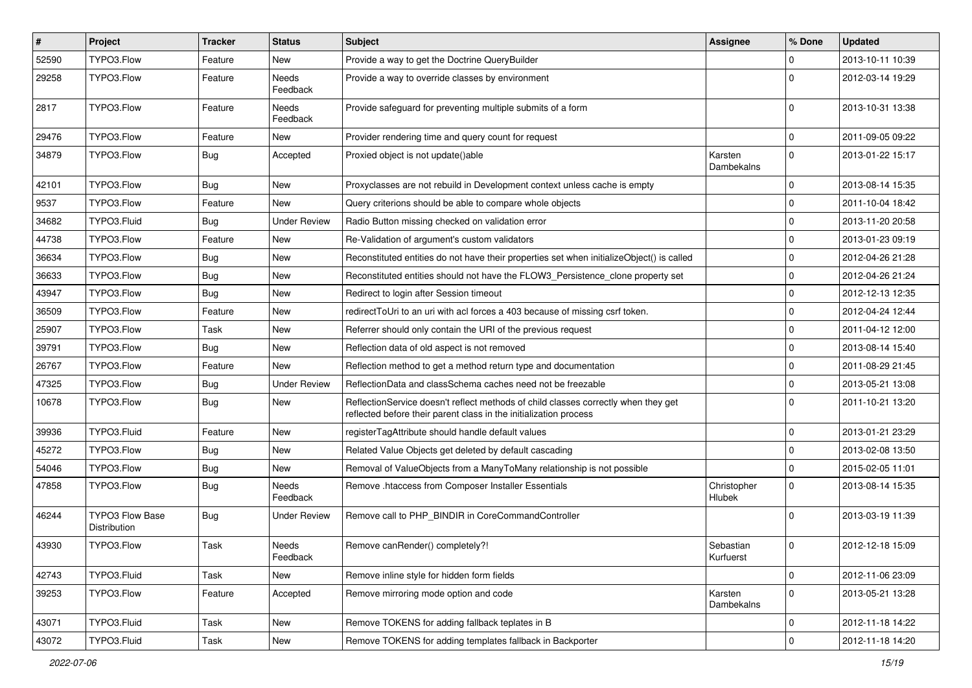| $\pmb{\#}$ | Project                                | <b>Tracker</b> | <b>Status</b>            | Subject                                                                                                                                                 | <b>Assignee</b>              | % Done       | <b>Updated</b>   |
|------------|----------------------------------------|----------------|--------------------------|---------------------------------------------------------------------------------------------------------------------------------------------------------|------------------------------|--------------|------------------|
| 52590      | TYPO3.Flow                             | Feature        | New                      | Provide a way to get the Doctrine QueryBuilder                                                                                                          |                              | $\Omega$     | 2013-10-11 10:39 |
| 29258      | TYPO3.Flow                             | Feature        | Needs<br>Feedback        | Provide a way to override classes by environment                                                                                                        |                              | $\Omega$     | 2012-03-14 19:29 |
| 2817       | TYPO3.Flow                             | Feature        | Needs<br>Feedback        | Provide safeguard for preventing multiple submits of a form                                                                                             |                              | $\Omega$     | 2013-10-31 13:38 |
| 29476      | TYPO3.Flow                             | Feature        | New                      | Provider rendering time and query count for request                                                                                                     |                              | 0            | 2011-09-05 09:22 |
| 34879      | TYPO3.Flow                             | <b>Bug</b>     | Accepted                 | Proxied object is not update()able                                                                                                                      | Karsten<br>Dambekalns        | $\Omega$     | 2013-01-22 15:17 |
| 42101      | TYPO3.Flow                             | <b>Bug</b>     | New                      | Proxyclasses are not rebuild in Development context unless cache is empty                                                                               |                              | <sup>0</sup> | 2013-08-14 15:35 |
| 9537       | TYPO3.Flow                             | Feature        | New                      | Query criterions should be able to compare whole objects                                                                                                |                              | $\mathbf 0$  | 2011-10-04 18:42 |
| 34682      | TYPO3.Fluid                            | <b>Bug</b>     | <b>Under Review</b>      | Radio Button missing checked on validation error                                                                                                        |                              | $\mathbf 0$  | 2013-11-20 20:58 |
| 44738      | TYPO3.Flow                             | Feature        | New                      | Re-Validation of argument's custom validators                                                                                                           |                              | $\Omega$     | 2013-01-23 09:19 |
| 36634      | TYPO3.Flow                             | <b>Bug</b>     | <b>New</b>               | Reconstituted entities do not have their properties set when initializeObject() is called                                                               |                              | $\mathbf 0$  | 2012-04-26 21:28 |
| 36633      | TYPO3.Flow                             | <b>Bug</b>     | New                      | Reconstituted entities should not have the FLOW3_Persistence_clone property set                                                                         |                              | $\Omega$     | 2012-04-26 21:24 |
| 43947      | TYPO3.Flow                             | Bug            | New                      | Redirect to login after Session timeout                                                                                                                 |                              | $\mathbf 0$  | 2012-12-13 12:35 |
| 36509      | TYPO3.Flow                             | Feature        | New                      | redirectToUri to an uri with acl forces a 403 because of missing csrf token.                                                                            |                              | $\Omega$     | 2012-04-24 12:44 |
| 25907      | TYPO3.Flow                             | Task           | New                      | Referrer should only contain the URI of the previous request                                                                                            |                              | $\Omega$     | 2011-04-12 12:00 |
| 39791      | TYPO3.Flow                             | Bug            | New                      | Reflection data of old aspect is not removed                                                                                                            |                              | $\Omega$     | 2013-08-14 15:40 |
| 26767      | TYPO3.Flow                             | Feature        | New                      | Reflection method to get a method return type and documentation                                                                                         |                              | $\mathbf 0$  | 2011-08-29 21:45 |
| 47325      | TYPO3.Flow                             | <b>Bug</b>     | <b>Under Review</b>      | ReflectionData and classSchema caches need not be freezable                                                                                             |                              | $\Omega$     | 2013-05-21 13:08 |
| 10678      | TYPO3.Flow                             | <b>Bug</b>     | New                      | ReflectionService doesn't reflect methods of child classes correctly when they get<br>reflected before their parent class in the initialization process |                              | $\Omega$     | 2011-10-21 13:20 |
| 39936      | TYPO3.Fluid                            | Feature        | New                      | registerTagAttribute should handle default values                                                                                                       |                              | 0            | 2013-01-21 23:29 |
| 45272      | TYPO3.Flow                             | <b>Bug</b>     | New                      | Related Value Objects get deleted by default cascading                                                                                                  |                              | $\mathbf 0$  | 2013-02-08 13:50 |
| 54046      | TYPO3.Flow                             | <b>Bug</b>     | New                      | Removal of ValueObjects from a ManyToMany relationship is not possible                                                                                  |                              | $\mathbf 0$  | 2015-02-05 11:01 |
| 47858      | TYPO3.Flow                             | <b>Bug</b>     | <b>Needs</b><br>Feedback | Remove .htaccess from Composer Installer Essentials                                                                                                     | Christopher<br><b>Hlubek</b> | $\Omega$     | 2013-08-14 15:35 |
| 46244      | TYPO3 Flow Base<br><b>Distribution</b> | <b>Bug</b>     | Under Review             | Remove call to PHP_BINDIR in CoreCommandController                                                                                                      |                              | $\Omega$     | 2013-03-19 11:39 |
| 43930      | TYPO3.Flow                             | Task           | Needs<br>Feedback        | Remove canRender() completely?!                                                                                                                         | Sebastian<br>Kurfuerst       | $\mathbf 0$  | 2012-12-18 15:09 |
| 42743      | TYPO3.Fluid                            | Task           | New                      | Remove inline style for hidden form fields                                                                                                              |                              | $\mathbf 0$  | 2012-11-06 23:09 |
| 39253      | TYPO3.Flow                             | Feature        | Accepted                 | Remove mirroring mode option and code                                                                                                                   | Karsten<br>Dambekalns        | $\mathbf 0$  | 2013-05-21 13:28 |
| 43071      | TYPO3.Fluid                            | Task           | New                      | Remove TOKENS for adding fallback teplates in B                                                                                                         |                              | 0            | 2012-11-18 14:22 |
| 43072      | TYPO3.Fluid                            | Task           | New                      | Remove TOKENS for adding templates fallback in Backporter                                                                                               |                              | $\mathbf{0}$ | 2012-11-18 14:20 |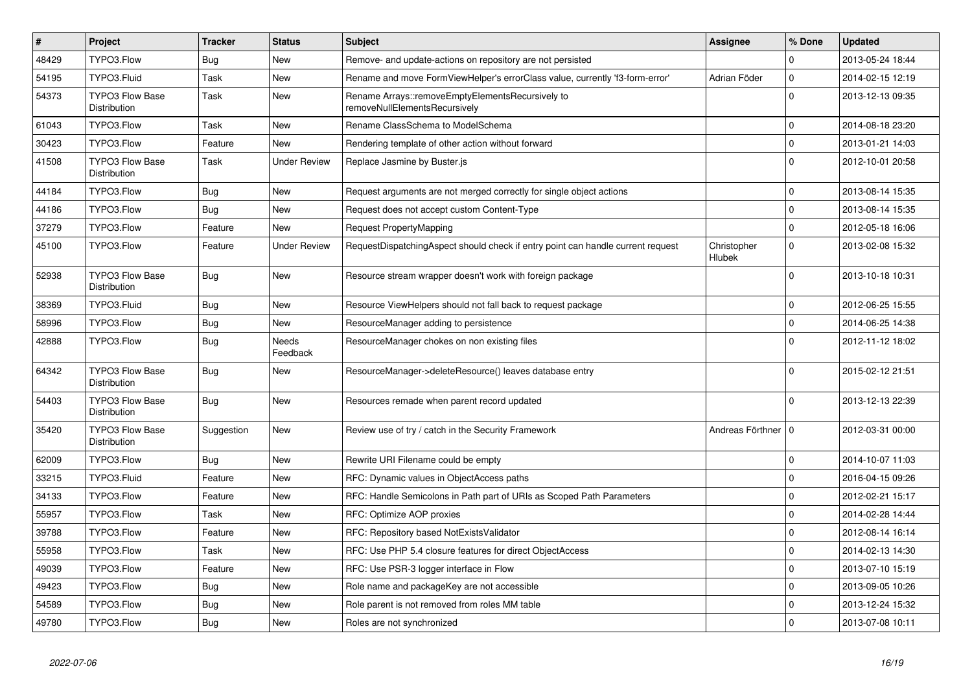| $\vert$ # | Project                                       | <b>Tracker</b> | <b>Status</b>            | <b>Subject</b>                                                                    | <b>Assignee</b>       | % Done      | <b>Updated</b>   |
|-----------|-----------------------------------------------|----------------|--------------------------|-----------------------------------------------------------------------------------|-----------------------|-------------|------------------|
| 48429     | TYPO3.Flow                                    | <b>Bug</b>     | New                      | Remove- and update-actions on repository are not persisted                        |                       | 0           | 2013-05-24 18:44 |
| 54195     | TYPO3.Fluid                                   | Task           | New                      | Rename and move FormViewHelper's errorClass value, currently 'f3-form-error'      | Adrian Föder          | $\mathbf 0$ | 2014-02-15 12:19 |
| 54373     | <b>TYPO3 Flow Base</b><br>Distribution        | Task           | New                      | Rename Arrays::removeEmptyElementsRecursively to<br>removeNullElementsRecursively |                       | $\Omega$    | 2013-12-13 09:35 |
| 61043     | TYPO3.Flow                                    | Task           | New                      | Rename ClassSchema to ModelSchema                                                 |                       | $\mathbf 0$ | 2014-08-18 23:20 |
| 30423     | TYPO3.Flow                                    | Feature        | New                      | Rendering template of other action without forward                                |                       | $\pmb{0}$   | 2013-01-21 14:03 |
| 41508     | <b>TYPO3 Flow Base</b><br><b>Distribution</b> | Task           | Under Review             | Replace Jasmine by Buster.js                                                      |                       | $\Omega$    | 2012-10-01 20:58 |
| 44184     | TYPO3.Flow                                    | Bug            | New                      | Request arguments are not merged correctly for single object actions              |                       | $\mathbf 0$ | 2013-08-14 15:35 |
| 44186     | TYPO3.Flow                                    | <b>Bug</b>     | New                      | Request does not accept custom Content-Type                                       |                       | $\mathbf 0$ | 2013-08-14 15:35 |
| 37279     | TYPO3.Flow                                    | Feature        | <b>New</b>               | Request PropertyMapping                                                           |                       | $\mathbf 0$ | 2012-05-18 16:06 |
| 45100     | TYPO3.Flow                                    | Feature        | <b>Under Review</b>      | RequestDispatchingAspect should check if entry point can handle current request   | Christopher<br>Hlubek | $\mathbf 0$ | 2013-02-08 15:32 |
| 52938     | TYPO3 Flow Base<br>Distribution               | <b>Bug</b>     | <b>New</b>               | Resource stream wrapper doesn't work with foreign package                         |                       | $\mathbf 0$ | 2013-10-18 10:31 |
| 38369     | TYPO3.Fluid                                   | Bug            | New                      | Resource ViewHelpers should not fall back to request package                      |                       | $\mathbf 0$ | 2012-06-25 15:55 |
| 58996     | TYPO3.Flow                                    | <b>Bug</b>     | New                      | ResourceManager adding to persistence                                             |                       | $\mathbf 0$ | 2014-06-25 14:38 |
| 42888     | TYPO3.Flow                                    | Bug            | <b>Needs</b><br>Feedback | ResourceManager chokes on non existing files                                      |                       | $\Omega$    | 2012-11-12 18:02 |
| 64342     | <b>TYPO3 Flow Base</b><br><b>Distribution</b> | <b>Bug</b>     | New                      | ResourceManager->deleteResource() leaves database entry                           |                       | $\Omega$    | 2015-02-12 21:51 |
| 54403     | <b>TYPO3 Flow Base</b><br>Distribution        | Bug            | New                      | Resources remade when parent record updated                                       |                       | $\Omega$    | 2013-12-13 22:39 |
| 35420     | <b>TYPO3 Flow Base</b><br><b>Distribution</b> | Suggestion     | <b>New</b>               | Review use of try / catch in the Security Framework                               | Andreas Förthner   0  |             | 2012-03-31 00:00 |
| 62009     | TYPO3.Flow                                    | Bug            | New                      | Rewrite URI Filename could be empty                                               |                       | $\mathbf 0$ | 2014-10-07 11:03 |
| 33215     | TYPO3.Fluid                                   | Feature        | New                      | RFC: Dynamic values in ObjectAccess paths                                         |                       | $\Omega$    | 2016-04-15 09:26 |
| 34133     | TYPO3.Flow                                    | Feature        | New                      | RFC: Handle Semicolons in Path part of URIs as Scoped Path Parameters             |                       | $\mathbf 0$ | 2012-02-21 15:17 |
| 55957     | TYPO3.Flow                                    | Task           | New                      | RFC: Optimize AOP proxies                                                         |                       | $\mathbf 0$ | 2014-02-28 14:44 |
| 39788     | TYPO3.Flow                                    | Feature        | New                      | RFC: Repository based NotExistsValidator                                          |                       | $\mathbf 0$ | 2012-08-14 16:14 |
| 55958     | TYPO3.Flow                                    | Task           | New                      | RFC: Use PHP 5.4 closure features for direct ObjectAccess                         |                       | $\Omega$    | 2014-02-13 14:30 |
| 49039     | TYPO3.Flow                                    | Feature        | <b>New</b>               | RFC: Use PSR-3 logger interface in Flow                                           |                       | $\mathbf 0$ | 2013-07-10 15:19 |
| 49423     | TYPO3.Flow                                    | Bug            | New                      | Role name and packageKey are not accessible                                       |                       | $\mathbf 0$ | 2013-09-05 10:26 |
| 54589     | TYPO3.Flow                                    | Bug            | New                      | Role parent is not removed from roles MM table                                    |                       | $\mathbf 0$ | 2013-12-24 15:32 |
| 49780     | TYPO3.Flow                                    | <b>Bug</b>     | <b>New</b>               | Roles are not synchronized                                                        |                       | $\Omega$    | 2013-07-08 10:11 |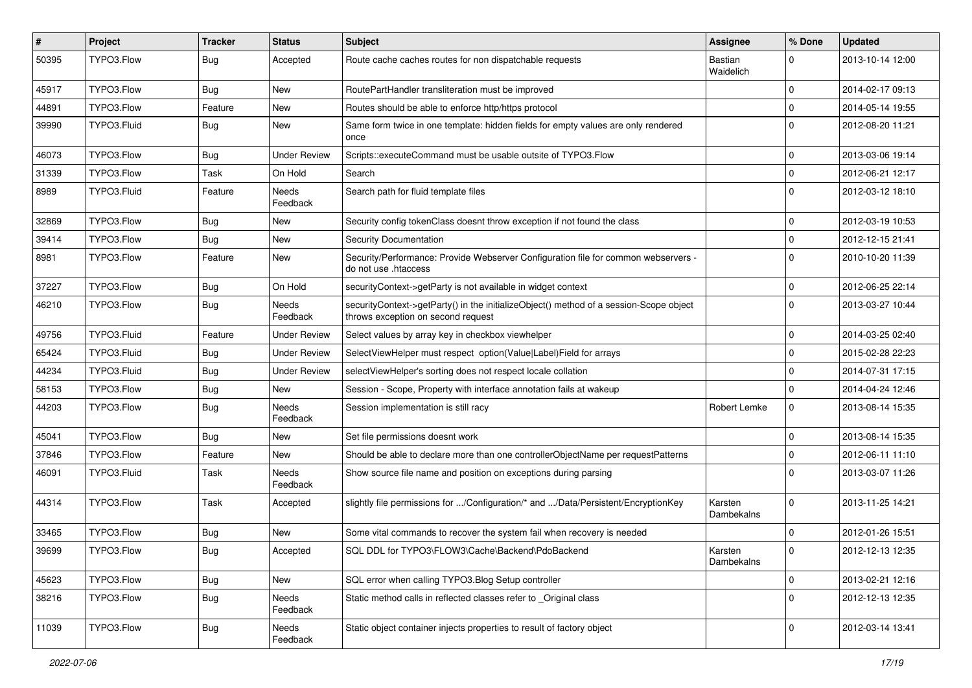| #     | Project     | <b>Tracker</b> | <b>Status</b>       | <b>Subject</b>                                                                                                               | <b>Assignee</b>       | % Done       | <b>Updated</b>   |
|-------|-------------|----------------|---------------------|------------------------------------------------------------------------------------------------------------------------------|-----------------------|--------------|------------------|
| 50395 | TYPO3.Flow  | <b>Bug</b>     | Accepted            | Route cache caches routes for non dispatchable requests                                                                      | Bastian<br>Waidelich  | $\Omega$     | 2013-10-14 12:00 |
| 45917 | TYPO3.Flow  | <b>Bug</b>     | New                 | RoutePartHandler transliteration must be improved                                                                            |                       | $\Omega$     | 2014-02-17 09:13 |
| 44891 | TYPO3.Flow  | Feature        | New                 | Routes should be able to enforce http/https protocol                                                                         |                       | $\Omega$     | 2014-05-14 19:55 |
| 39990 | TYPO3.Fluid | <b>Bug</b>     | New                 | Same form twice in one template: hidden fields for empty values are only rendered<br>once                                    |                       | $\Omega$     | 2012-08-20 11:21 |
| 46073 | TYPO3.Flow  | <b>Bug</b>     | <b>Under Review</b> | Scripts::executeCommand must be usable outsite of TYPO3.Flow                                                                 |                       | $\Omega$     | 2013-03-06 19:14 |
| 31339 | TYPO3.Flow  | Task           | On Hold             | Search                                                                                                                       |                       | $\mathbf 0$  | 2012-06-21 12:17 |
| 8989  | TYPO3.Fluid | Feature        | Needs<br>Feedback   | Search path for fluid template files                                                                                         |                       | $\Omega$     | 2012-03-12 18:10 |
| 32869 | TYPO3.Flow  | <b>Bug</b>     | New                 | Security config tokenClass doesnt throw exception if not found the class                                                     |                       | $\Omega$     | 2012-03-19 10:53 |
| 39414 | TYPO3.Flow  | <b>Bug</b>     | New                 | Security Documentation                                                                                                       |                       | $\Omega$     | 2012-12-15 21:41 |
| 8981  | TYPO3.Flow  | Feature        | New                 | Security/Performance: Provide Webserver Configuration file for common webservers -<br>do not use .htaccess                   |                       | $\Omega$     | 2010-10-20 11:39 |
| 37227 | TYPO3.Flow  | <b>Bug</b>     | On Hold             | securityContext->getParty is not available in widget context                                                                 |                       | $\mathbf 0$  | 2012-06-25 22:14 |
| 46210 | TYPO3.Flow  | <b>Bug</b>     | Needs<br>Feedback   | securityContext->getParty() in the initializeObject() method of a session-Scope object<br>throws exception on second request |                       | $\Omega$     | 2013-03-27 10:44 |
| 49756 | TYPO3.Fluid | Feature        | <b>Under Review</b> | Select values by array key in checkbox viewhelper                                                                            |                       | $\Omega$     | 2014-03-25 02:40 |
| 65424 | TYPO3.Fluid | <b>Bug</b>     | <b>Under Review</b> | SelectViewHelper must respect option(Value Label)Field for arrays                                                            |                       | $\mathbf 0$  | 2015-02-28 22:23 |
| 44234 | TYPO3.Fluid | <b>Bug</b>     | <b>Under Review</b> | selectViewHelper's sorting does not respect locale collation                                                                 |                       | $\Omega$     | 2014-07-31 17:15 |
| 58153 | TYPO3.Flow  | <b>Bug</b>     | New                 | Session - Scope, Property with interface annotation fails at wakeup                                                          |                       | $\Omega$     | 2014-04-24 12:46 |
| 44203 | TYPO3.Flow  | <b>Bug</b>     | Needs<br>Feedback   | Session implementation is still racy                                                                                         | Robert Lemke          | 0            | 2013-08-14 15:35 |
| 45041 | TYPO3.Flow  | Bug            | New                 | Set file permissions doesnt work                                                                                             |                       | $\mathbf 0$  | 2013-08-14 15:35 |
| 37846 | TYPO3.Flow  | Feature        | New                 | Should be able to declare more than one controllerObjectName per requestPatterns                                             |                       | $\Omega$     | 2012-06-11 11:10 |
| 46091 | TYPO3.Fluid | Task           | Needs<br>Feedback   | Show source file name and position on exceptions during parsing                                                              |                       | $\Omega$     | 2013-03-07 11:26 |
| 44314 | TYPO3.Flow  | Task           | Accepted            | slightly file permissions for /Configuration/* and /Data/Persistent/EncryptionKey                                            | Karsten<br>Dambekalns | $\Omega$     | 2013-11-25 14:21 |
| 33465 | TYPO3.Flow  | Bug            | New                 | Some vital commands to recover the system fail when recovery is needed                                                       |                       | $\Omega$     | 2012-01-26 15:51 |
| 39699 | TYPO3.Flow  | <b>Bug</b>     | Accepted            | SQL DDL for TYPO3\FLOW3\Cache\Backend\PdoBackend                                                                             | Karsten<br>Dambekalns |              | 2012-12-13 12:35 |
| 45623 | TYPO3.Flow  | Bug            | New                 | SQL error when calling TYPO3.Blog Setup controller                                                                           |                       | $\mathbf 0$  | 2013-02-21 12:16 |
| 38216 | TYPO3.Flow  | <b>Bug</b>     | Needs<br>Feedback   | Static method calls in reflected classes refer to _Original class                                                            |                       | $\mathbf{0}$ | 2012-12-13 12:35 |
| 11039 | TYPO3.Flow  | <b>Bug</b>     | Needs<br>Feedback   | Static object container injects properties to result of factory object                                                       |                       | $\mathbf{0}$ | 2012-03-14 13:41 |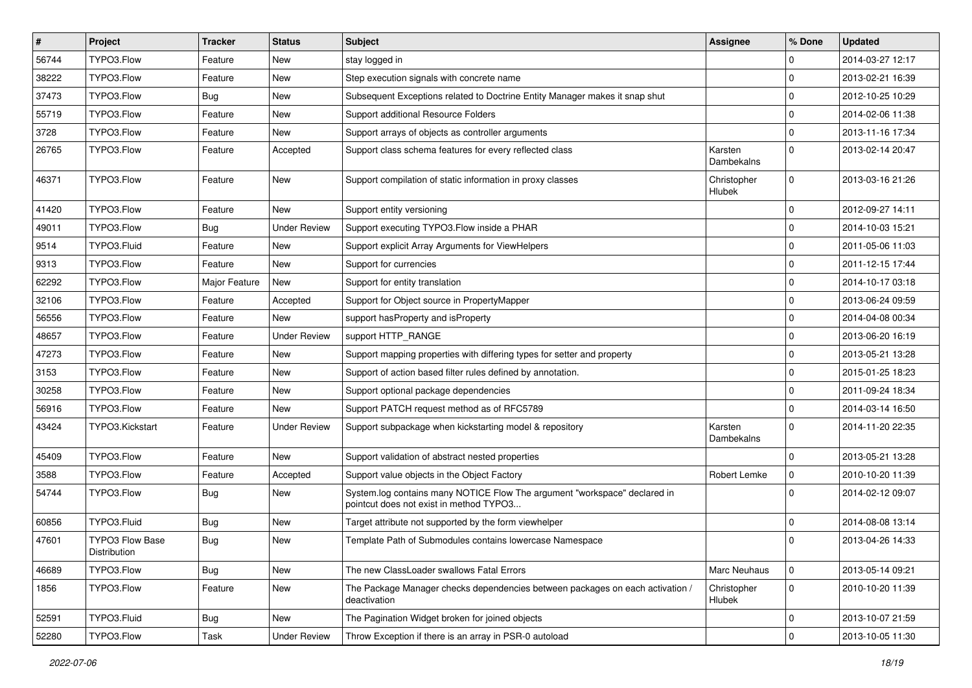| $\vert$ # | Project                         | <b>Tracker</b> | <b>Status</b>       | Subject                                                                                                              | Assignee                     | % Done      | <b>Updated</b>   |
|-----------|---------------------------------|----------------|---------------------|----------------------------------------------------------------------------------------------------------------------|------------------------------|-------------|------------------|
| 56744     | TYPO3.Flow                      | Feature        | New                 | stay logged in                                                                                                       |                              | 0           | 2014-03-27 12:17 |
| 38222     | TYPO3.Flow                      | Feature        | New                 | Step execution signals with concrete name                                                                            |                              | $\mathbf 0$ | 2013-02-21 16:39 |
| 37473     | TYPO3.Flow                      | <b>Bug</b>     | New                 | Subsequent Exceptions related to Doctrine Entity Manager makes it snap shut                                          |                              | $\mathbf 0$ | 2012-10-25 10:29 |
| 55719     | TYPO3.Flow                      | Feature        | New                 | Support additional Resource Folders                                                                                  |                              | $\mathbf 0$ | 2014-02-06 11:38 |
| 3728      | TYPO3.Flow                      | Feature        | New                 | Support arrays of objects as controller arguments                                                                    |                              | $\mathbf 0$ | 2013-11-16 17:34 |
| 26765     | TYPO3.Flow                      | Feature        | Accepted            | Support class schema features for every reflected class                                                              | Karsten<br>Dambekalns        | $\mathbf 0$ | 2013-02-14 20:47 |
| 46371     | TYPO3.Flow                      | Feature        | New                 | Support compilation of static information in proxy classes                                                           | Christopher<br><b>Hlubek</b> | $\mathbf 0$ | 2013-03-16 21:26 |
| 41420     | TYPO3.Flow                      | Feature        | New                 | Support entity versioning                                                                                            |                              | $\mathbf 0$ | 2012-09-27 14:11 |
| 49011     | TYPO3.Flow                      | <b>Bug</b>     | <b>Under Review</b> | Support executing TYPO3. Flow inside a PHAR                                                                          |                              | $\mathbf 0$ | 2014-10-03 15:21 |
| 9514      | TYPO3.Fluid                     | Feature        | New                 | Support explicit Array Arguments for ViewHelpers                                                                     |                              | $\mathbf 0$ | 2011-05-06 11:03 |
| 9313      | TYPO3.Flow                      | Feature        | New                 | Support for currencies                                                                                               |                              | $\mathbf 0$ | 2011-12-15 17:44 |
| 62292     | TYPO3.Flow                      | Major Feature  | New                 | Support for entity translation                                                                                       |                              | $\mathbf 0$ | 2014-10-17 03:18 |
| 32106     | TYPO3.Flow                      | Feature        | Accepted            | Support for Object source in PropertyMapper                                                                          |                              | $\mathbf 0$ | 2013-06-24 09:59 |
| 56556     | TYPO3.Flow                      | Feature        | New                 | support has Property and is Property                                                                                 |                              | $\mathbf 0$ | 2014-04-08 00:34 |
| 48657     | TYPO3.Flow                      | Feature        | <b>Under Review</b> | support HTTP_RANGE                                                                                                   |                              | $\mathbf 0$ | 2013-06-20 16:19 |
| 47273     | TYPO3.Flow                      | Feature        | New                 | Support mapping properties with differing types for setter and property                                              |                              | $\mathbf 0$ | 2013-05-21 13:28 |
| 3153      | TYPO3.Flow                      | Feature        | New                 | Support of action based filter rules defined by annotation.                                                          |                              | $\mathbf 0$ | 2015-01-25 18:23 |
| 30258     | TYPO3.Flow                      | Feature        | New                 | Support optional package dependencies                                                                                |                              | $\mathbf 0$ | 2011-09-24 18:34 |
| 56916     | TYPO3.Flow                      | Feature        | New                 | Support PATCH request method as of RFC5789                                                                           |                              | $\mathbf 0$ | 2014-03-14 16:50 |
| 43424     | TYPO3.Kickstart                 | Feature        | <b>Under Review</b> | Support subpackage when kickstarting model & repository                                                              | Karsten<br>Dambekalns        | $\mathbf 0$ | 2014-11-20 22:35 |
| 45409     | TYPO3.Flow                      | Feature        | New                 | Support validation of abstract nested properties                                                                     |                              | $\mathbf 0$ | 2013-05-21 13:28 |
| 3588      | TYPO3.Flow                      | Feature        | Accepted            | Support value objects in the Object Factory                                                                          | Robert Lemke                 | $\mathbf 0$ | 2010-10-20 11:39 |
| 54744     | TYPO3.Flow                      | <b>Bug</b>     | New                 | System.log contains many NOTICE Flow The argument "workspace" declared in<br>pointcut does not exist in method TYPO3 |                              | $\Omega$    | 2014-02-12 09:07 |
| 60856     | TYPO3.Fluid                     | <b>Bug</b>     | New                 | Target attribute not supported by the form viewhelper                                                                |                              | $\mathbf 0$ | 2014-08-08 13:14 |
| 47601     | TYPO3 Flow Base<br>Distribution | <b>Bug</b>     | New                 | Template Path of Submodules contains lowercase Namespace                                                             |                              | $\Omega$    | 2013-04-26 14:33 |
| 46689     | TYPO3.Flow                      | <b>Bug</b>     | New                 | The new ClassLoader swallows Fatal Errors                                                                            | Marc Neuhaus                 | $\mathbf 0$ | 2013-05-14 09:21 |
| 1856      | TYPO3.Flow                      | Feature        | New                 | The Package Manager checks dependencies between packages on each activation /<br>deactivation                        | Christopher<br>Hlubek        | $\mathbf 0$ | 2010-10-20 11:39 |
| 52591     | TYPO3.Fluid                     | <b>Bug</b>     | New                 | The Pagination Widget broken for joined objects                                                                      |                              | 0           | 2013-10-07 21:59 |
| 52280     | TYPO3.Flow                      | Task           | <b>Under Review</b> | Throw Exception if there is an array in PSR-0 autoload                                                               |                              | $\mathbf 0$ | 2013-10-05 11:30 |